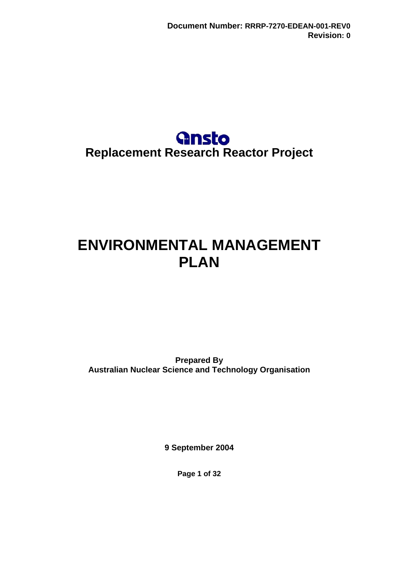

# <span id="page-0-0"></span>**ENVIRONMENTAL MANAGEMENT PLAN**

**Prepared By Australian Nuclear Science and Technology Organisation** 

**9 September 2004** 

**Page 1 of 32**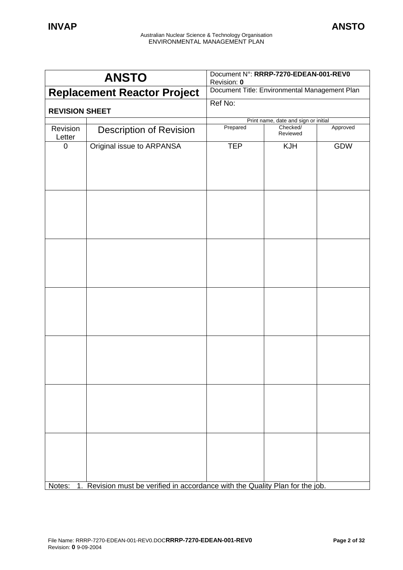|                       | <b>ANSTO</b>                                                                  | Document N°: RRRP-7270-EDEAN-001-REV0<br>Revision: 0 |                                      |          |  |
|-----------------------|-------------------------------------------------------------------------------|------------------------------------------------------|--------------------------------------|----------|--|
|                       | <b>Replacement Reactor Project</b>                                            | Document Title: Environmental Management Plan        |                                      |          |  |
| <b>REVISION SHEET</b> |                                                                               | Ref No:                                              |                                      |          |  |
|                       |                                                                               |                                                      | Print name, date and sign or initial |          |  |
| Revision<br>Letter    | <b>Description of Revision</b>                                                | Prepared                                             | Checked/<br>Reviewed                 | Approved |  |
| $\mathbf 0$           | Original issue to ARPANSA                                                     | <b>TEP</b>                                           | KJH                                  | GDW      |  |
|                       |                                                                               |                                                      |                                      |          |  |
|                       |                                                                               |                                                      |                                      |          |  |
|                       |                                                                               |                                                      |                                      |          |  |
|                       |                                                                               |                                                      |                                      |          |  |
|                       |                                                                               |                                                      |                                      |          |  |
| Notes:                | 1. Revision must be verified in accordance with the Quality Plan for the job. |                                                      |                                      |          |  |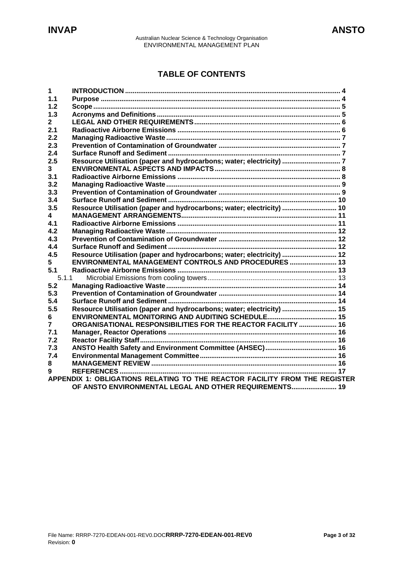# **TABLE OF CONTENTS**

| 1     |                                                                            |
|-------|----------------------------------------------------------------------------|
| 1.1   |                                                                            |
| 1.2   |                                                                            |
| 1.3   |                                                                            |
| 2     |                                                                            |
| 2.1   |                                                                            |
| 2.2   |                                                                            |
| 2.3   |                                                                            |
| 2.4   |                                                                            |
| 2.5   | Resource Utilisation (paper and hydrocarbons; water; electricity)  7       |
| 3     |                                                                            |
| 3.1   |                                                                            |
| 3.2   |                                                                            |
| 3.3   |                                                                            |
| 3.4   |                                                                            |
| 3.5   | Resource Utilisation (paper and hydrocarbons; water; electricity)  10      |
| 4     |                                                                            |
| 4.1   |                                                                            |
| 4.2   |                                                                            |
| 4.3   |                                                                            |
| 4.4   |                                                                            |
| 4.5   | Resource Utilisation (paper and hydrocarbons; water; electricity)  12      |
| 5     | ENVIRONMENTAL MANAGEMENT CONTROLS AND PROCEDURES 13                        |
| 5.1   |                                                                            |
| 5.1.1 |                                                                            |
| 5.2   |                                                                            |
| 5.3   |                                                                            |
| 5.4   |                                                                            |
| 5.5   | Resource Utilisation (paper and hydrocarbons; water; electricity)  15      |
| 6     |                                                                            |
| 7     | ORGANISATIONAL RESPONSIBILITIES FOR THE REACTOR FACILITY  16               |
| 7.1   |                                                                            |
| 7.2   |                                                                            |
| 7.3   |                                                                            |
| 7.4   |                                                                            |
| 8     |                                                                            |
| 9     |                                                                            |
|       | APPENDIX 1: OBLIGATIONS RELATING TO THE REACTOR FACILITY FROM THE REGISTER |
|       | OF ANSTO ENVIRONMENTAL LEGAL AND OTHER REQUIREMENTS 19                     |
|       |                                                                            |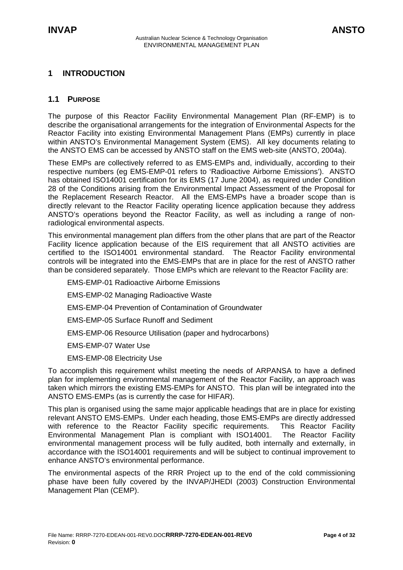# <span id="page-3-0"></span>**1 INTRODUCTION**

# **1.1 PURPOSE**

The purpose of this Reactor Facility Environmental Management Plan (RF-EMP) is to describe the organisational arrangements for the integration of Environmental Aspects for the Reactor Facility into existing Environmental Management Plans (EMPs) currently in place within ANSTO's Environmental Management System (EMS). All key documents relating to the ANSTO EMS can be accessed by ANSTO staff on the EMS web-site (ANSTO, 2004a).

These EMPs are collectively referred to as EMS-EMPs and, individually, according to their respective numbers (eg EMS-EMP-01 refers to 'Radioactive Airborne Emissions'). ANSTO has obtained ISO14001 certification for its EMS (17 June 2004), as required under Condition 28 of the Conditions arising from the Environmental Impact Assessment of the Proposal for the Replacement Research Reactor. All the EMS-EMPs have a broader scope than is directly relevant to the Reactor Facility operating licence application because they address ANSTO's operations beyond the Reactor Facility, as well as including a range of nonradiological environmental aspects.

This environmental management plan differs from the other plans that are part of the Reactor Facility licence application because of the EIS requirement that all ANSTO activities are certified to the ISO14001 environmental standard. The Reactor Facility environmental controls will be integrated into the EMS-EMPs that are in place for the rest of ANSTO rather than be considered separately. Those EMPs which are relevant to the Reactor Facility are:

EMS-EMP-01 Radioactive Airborne Emissions

EMS-EMP-02 Managing Radioactive Waste

EMS-EMP-04 Prevention of Contamination of Groundwater

EMS-EMP-05 Surface Runoff and Sediment

EMS-EMP-06 Resource Utilisation (paper and hydrocarbons)

EMS-EMP-07 Water Use

EMS-EMP-08 Electricity Use

To accomplish this requirement whilst meeting the needs of ARPANSA to have a defined plan for implementing environmental management of the Reactor Facility, an approach was taken which mirrors the existing EMS-EMPs for ANSTO. This plan will be integrated into the ANSTO EMS-EMPs (as is currently the case for HIFAR).

This plan is organised using the same major applicable headings that are in place for existing relevant ANSTO EMS-EMPs. Under each heading, those EMS-EMPs are directly addressed with reference to the Reactor Facility specific requirements. This Reactor Facility Environmental Management Plan is compliant with ISO14001. The Reactor Facility environmental management process will be fully audited, both internally and externally, in accordance with the ISO14001 requirements and will be subject to continual improvement to enhance ANSTO's environmental performance.

The environmental aspects of the RRR Project up to the end of the cold commissioning phase have been fully covered by the INVAP/JHEDI (2003) Construction Environmental Management Plan (CEMP).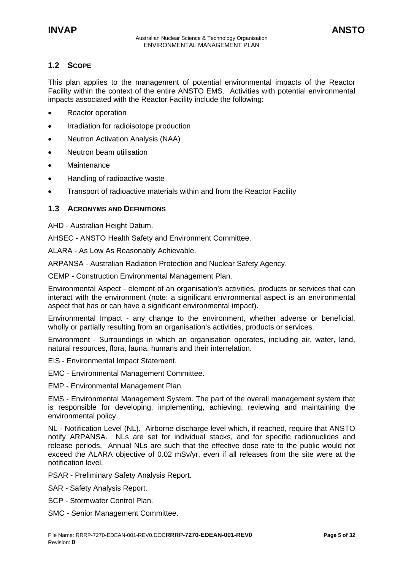# <span id="page-4-0"></span>**1.2 SCOPE**

This plan applies to the management of potential environmental impacts of the Reactor Facility within the context of the entire ANSTO EMS. Activities with potential environmental impacts associated with the Reactor Facility include the following:

- Reactor operation
- Irradiation for radioisotope production
- Neutron Activation Analysis (NAA)
- Neutron beam utilisation
- Maintenance
- Handling of radioactive waste
- Transport of radioactive materials within and from the Reactor Facility

# **1.3 ACRONYMS AND DEFINITIONS**

AHD - Australian Height Datum.

AHSEC - ANSTO Health Safety and Environment Committee.

ALARA - As Low As Reasonably Achievable.

ARPANSA - Australian Radiation Protection and Nuclear Safety Agency.

CEMP - Construction Environmental Management Plan.

Environmental Aspect - element of an organisation's activities, products or services that can interact with the environment (note: a significant environmental aspect is an environmental aspect that has or can have a significant environmental impact).

Environmental Impact - any change to the environment, whether adverse or beneficial, wholly or partially resulting from an organisation's activities, products or services.

Environment - Surroundings in which an organisation operates, including air, water, land, natural resources, flora, fauna, humans and their interrelation.

- EIS Environmental Impact Statement.
- EMC Environmental Management Committee.

EMP - Environmental Management Plan.

EMS - Environmental Management System. The part of the overall management system that is responsible for developing, implementing, achieving, reviewing and maintaining the environmental policy.

NL - Notification Level (NL). Airborne discharge level which, if reached, require that ANSTO notify ARPANSA. NLs are set for individual stacks, and for specific radionuclides and release periods. Annual NLs are such that the effective dose rate to the public would not exceed the ALARA objective of 0.02 mSv/yr, even if all releases from the site were at the notification level.

PSAR - Preliminary Safety Analysis Report.

- SAR Safety Analysis Report.
- SCP Stormwater Control Plan.
- SMC Senior Management Committee.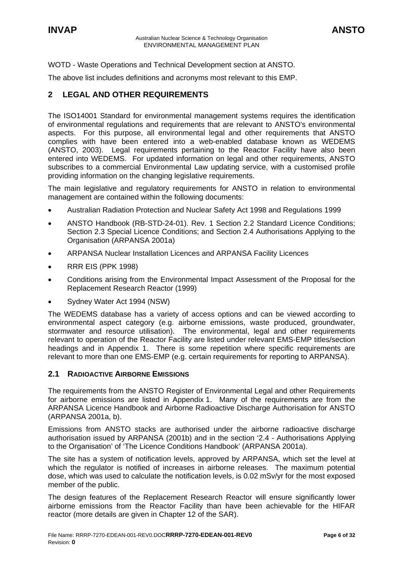<span id="page-5-0"></span>WOTD - Waste Operations and Technical Development section at ANSTO.

The above list includes definitions and acronyms most relevant to this EMP.

# **2 LEGAL AND OTHER REQUIREMENTS**

The ISO14001 Standard for environmental management systems requires the identification of environmental regulations and requirements that are relevant to ANSTO's environmental aspects. For this purpose, all environmental legal and other requirements that ANSTO complies with have been entered into a web-enabled database known as WEDEMS (ANSTO, 2003). Legal requirements pertaining to the Reactor Facility have also been entered into WEDEMS. For updated information on legal and other requirements, ANSTO subscribes to a commercial Environmental Law updating service, with a customised profile providing information on the changing legislative requirements.

The main legislative and regulatory requirements for ANSTO in relation to environmental management are contained within the following documents:

- Australian Radiation Protection and Nuclear Safety Act 1998 and Regulations 1999
- ANSTO Handbook (RB-STD-24-01). Rev. 1 Section 2.2 Standard Licence Conditions; Section 2.3 Special Licence Conditions; and Section 2.4 Authorisations Applying to the Organisation (ARPANSA 2001a)
- ARPANSA Nuclear Installation Licences and ARPANSA Facility Licences
- RRR EIS (PPK 1998)
- Conditions arising from the Environmental Impact Assessment of the Proposal for the Replacement Research Reactor (1999)
- Sydney Water Act 1994 (NSW)

The WEDEMS database has a variety of access options and can be viewed according to environmental aspect category (e.g. airborne emissions, waste produced, groundwater, stormwater and resource utilisation). The environmental, legal and other requirements relevant to operation of the Reactor Facility are listed under relevant EMS-EMP titles/section headings and in Appendix 1. There is some repetition where specific requirements are relevant to more than one EMS-EMP (e.g. certain requirements for reporting to ARPANSA).

# **2.1 RADIOACTIVE AIRBORNE EMISSIONS**

The requirements from the ANSTO Register of Environmental Legal and other Requirements for airborne emissions are listed in Appendix 1. Many of the requirements are from the ARPANSA Licence Handbook and Airborne Radioactive Discharge Authorisation for ANSTO (ARPANSA 2001a, b).

Emissions from ANSTO stacks are authorised under the airborne radioactive discharge authorisation issued by ARPANSA (2001b) and in the section '2.4 - Authorisations Applying to the Organisation' of 'The Licence Conditions Handbook' (ARPANSA 2001a).

The site has a system of notification levels, approved by ARPANSA, which set the level at which the regulator is notified of increases in airborne releases. The maximum potential dose, which was used to calculate the notification levels, is 0.02 mSv/yr for the most exposed member of the public.

The design features of the Replacement Research Reactor will ensure significantly lower airborne emissions from the Reactor Facility than have been achievable for the HIFAR reactor (more details are given in Chapter 12 of the SAR).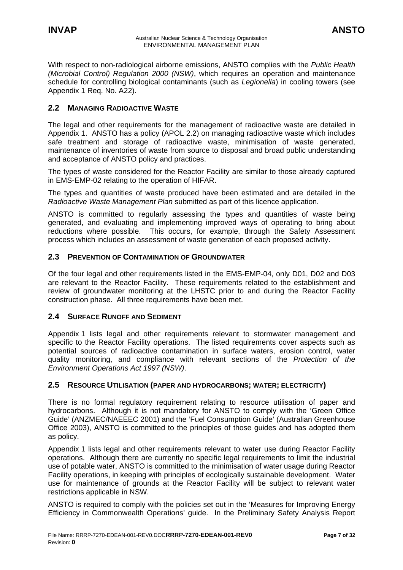<span id="page-6-0"></span>With respect to non-radiological airborne emissions, ANSTO complies with the *Public Health (Microbial Control) Regulation 2000 (NSW)*, which requires an operation and maintenance schedule for controlling biological contaminants (such as *Legionella*) in cooling towers (see Appendix 1 Req. No. A22).

# **2.2 MANAGING RADIOACTIVE WASTE**

The legal and other requirements for the management of radioactive waste are detailed in Appendix 1. ANSTO has a policy (APOL 2.2) on managing radioactive waste which includes safe treatment and storage of radioactive waste, minimisation of waste generated, maintenance of inventories of waste from source to disposal and broad public understanding and acceptance of ANSTO policy and practices.

The types of waste considered for the Reactor Facility are similar to those already captured in EMS-EMP-02 relating to the operation of HIFAR.

The types and quantities of waste produced have been estimated and are detailed in the *Radioactive Waste Management Plan* submitted as part of this licence application.

ANSTO is committed to regularly assessing the types and quantities of waste being generated, and evaluating and implementing improved ways of operating to bring about reductions where possible. This occurs, for example, through the Safety Assessment process which includes an assessment of waste generation of each proposed activity.

# **2.3 PREVENTION OF CONTAMINATION OF GROUNDWATER**

Of the four legal and other requirements listed in the EMS-EMP-04, only D01, D02 and D03 are relevant to the Reactor Facility. These requirements related to the establishment and review of groundwater monitoring at the LHSTC prior to and during the Reactor Facility construction phase. All three requirements have been met.

# **2.4 SURFACE RUNOFF AND SEDIMENT**

Appendix 1 lists legal and other requirements relevant to stormwater management and specific to the Reactor Facility operations. The listed requirements cover aspects such as potential sources of radioactive contamination in surface waters, erosion control, water quality monitoring, and compliance with relevant sections of the *Protection of the Environment Operations Act 1997 (NSW)*.

# **2.5 RESOURCE UTILISATION (PAPER AND HYDROCARBONS; WATER; ELECTRICITY)**

There is no formal regulatory requirement relating to resource utilisation of paper and hydrocarbons. Although it is not mandatory for ANSTO to comply with the 'Green Office Guide' (ANZMEC/NAEEEC 2001) and the 'Fuel Consumption Guide' (Australian Greenhouse Office 2003), ANSTO is committed to the principles of those guides and has adopted them as policy.

Appendix 1 lists legal and other requirements relevant to water use during Reactor Facility operations. Although there are currently no specific legal requirements to limit the industrial use of potable water, ANSTO is committed to the minimisation of water usage during Reactor Facility operations, in keeping with principles of ecologically sustainable development. Water use for maintenance of grounds at the Reactor Facility will be subject to relevant water restrictions applicable in NSW.

ANSTO is required to comply with the policies set out in the 'Measures for Improving Energy Efficiency in Commonwealth Operations' guide. In the Preliminary Safety Analysis Report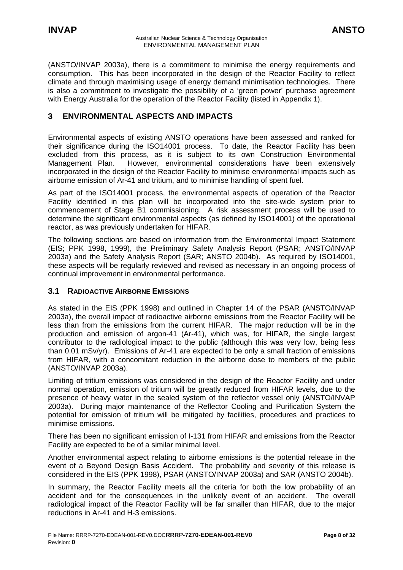<span id="page-7-0"></span>(ANSTO/INVAP 2003a), there is a commitment to minimise the energy requirements and consumption. This has been incorporated in the design of the Reactor Facility to reflect climate and through maximising usage of energy demand minimisation technologies. There is also a commitment to investigate the possibility of a 'green power' purchase agreement with Energy Australia for the operation of the Reactor Facility (listed in Appendix 1).

# **3 ENVIRONMENTAL ASPECTS AND IMPACTS**

Environmental aspects of existing ANSTO operations have been assessed and ranked for their significance during the ISO14001 process. To date, the Reactor Facility has been excluded from this process, as it is subject to its own Construction Environmental Management Plan. However, environmental considerations have been extensively incorporated in the design of the Reactor Facility to minimise environmental impacts such as airborne emission of Ar-41 and tritium, and to minimise handling of spent fuel.

As part of the ISO14001 process, the environmental aspects of operation of the Reactor Facility identified in this plan will be incorporated into the site-wide system prior to commencement of Stage B1 commissioning. A risk assessment process will be used to determine the significant environmental aspects (as defined by ISO14001) of the operational reactor, as was previously undertaken for HIFAR.

The following sections are based on information from the Environmental Impact Statement (EIS; PPK 1998, 1999), the Preliminary Safety Analysis Report (PSAR; ANSTO/INVAP 2003a) and the Safety Analysis Report (SAR; ANSTO 2004b). As required by ISO14001, these aspects will be regularly reviewed and revised as necessary in an ongoing process of continual improvement in environmental performance.

# **3.1 RADIOACTIVE AIRBORNE EMISSIONS**

As stated in the EIS (PPK 1998) and outlined in Chapter 14 of the PSAR (ANSTO/INVAP 2003a), the overall impact of radioactive airborne emissions from the Reactor Facility will be less than from the emissions from the current HIFAR. The major reduction will be in the production and emission of argon-41 (Ar-41), which was, for HIFAR, the single largest contributor to the radiological impact to the public (although this was very low, being less than 0.01 mSv/yr). Emissions of Ar-41 are expected to be only a small fraction of emissions from HIFAR, with a concomitant reduction in the airborne dose to members of the public (ANSTO/INVAP 2003a).

Limiting of tritium emissions was considered in the design of the Reactor Facility and under normal operation, emission of tritium will be greatly reduced from HIFAR levels, due to the presence of heavy water in the sealed system of the reflector vessel only (ANSTO/INVAP 2003a). During major maintenance of the Reflector Cooling and Purification System the potential for emission of tritium will be mitigated by facilities, procedures and practices to minimise emissions.

There has been no significant emission of I-131 from HIFAR and emissions from the Reactor Facility are expected to be of a similar minimal level.

Another environmental aspect relating to airborne emissions is the potential release in the event of a Beyond Design Basis Accident. The probability and severity of this release is considered in the EIS (PPK 1998), PSAR (ANSTO/INVAP 2003a) and SAR (ANSTO 2004b).

In summary, the Reactor Facility meets all the criteria for both the low probability of an accident and for the consequences in the unlikely event of an accident. The overall radiological impact of the Reactor Facility will be far smaller than HIFAR, due to the major reductions in Ar-41 and H-3 emissions.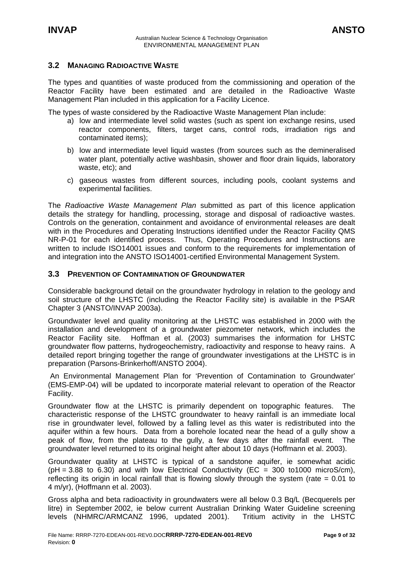# <span id="page-8-0"></span>**3.2 MANAGING RADIOACTIVE WASTE**

The types and quantities of waste produced from the commissioning and operation of the Reactor Facility have been estimated and are detailed in the Radioactive Waste Management Plan included in this application for a Facility Licence.

The types of waste considered by the Radioactive Waste Management Plan include:

- a) low and intermediate level solid wastes (such as spent ion exchange resins, used reactor components, filters, target cans, control rods, irradiation rigs and contaminated items);
- b) low and intermediate level liquid wastes (from sources such as the demineralised water plant, potentially active washbasin, shower and floor drain liquids, laboratory waste, etc); and
- c) gaseous wastes from different sources, including pools, coolant systems and experimental facilities.

The *Radioactive Waste Management Plan* submitted as part of this licence application details the strategy for handling, processing, storage and disposal of radioactive wastes. Controls on the generation, containment and avoidance of environmental releases are dealt with in the Procedures and Operating Instructions identified under the Reactor Facility QMS NR-P-01 for each identified process. Thus, Operating Procedures and Instructions are written to include ISO14001 issues and conform to the requirements for implementation of and integration into the ANSTO ISO14001-certified Environmental Management System.

### **3.3 PREVENTION OF CONTAMINATION OF GROUNDWATER**

Considerable background detail on the groundwater hydrology in relation to the geology and soil structure of the LHSTC (including the Reactor Facility site) is available in the PSAR Chapter 3 (ANSTO/INVAP 2003a).

Groundwater level and quality monitoring at the LHSTC was established in 2000 with the installation and development of a groundwater piezometer network, which includes the Reactor Facility site. Hoffman et al. (2003) summarises the information for LHSTC groundwater flow patterns, hydrogeochemistry, radioactivity and response to heavy rains. A detailed report bringing together the range of groundwater investigations at the LHSTC is in preparation (Parsons-Brinkerhoff/ANSTO 2004).

An Environmental Management Plan for 'Prevention of Contamination to Groundwater' (EMS-EMP-04) will be updated to incorporate material relevant to operation of the Reactor Facility.

Groundwater flow at the LHSTC is primarily dependent on topographic features. The characteristic response of the LHSTC groundwater to heavy rainfall is an immediate local rise in groundwater level, followed by a falling level as this water is redistributed into the aquifer within a few hours. Data from a borehole located near the head of a gully show a peak of flow, from the plateau to the gully, a few days after the rainfall event. The groundwater level returned to its original height after about 10 days (Hoffmann et al. 2003).

Groundwater quality at LHSTC is typical of a sandstone aquifer, ie somewhat acidic  $(pH = 3.88$  to 6.30) and with low Electrical Conductivity (EC = 300 to1000 microS/cm), reflecting its origin in local rainfall that is flowing slowly through the system (rate  $= 0.01$  to 4 m/yr), (Hoffmann et al. 2003).

Gross alpha and beta radioactivity in groundwaters were all below 0.3 Bq/L (Becquerels per litre) in September 2002, ie below current Australian Drinking Water Guideline screening levels (NHMRC/ARMCANZ 1996, updated 2001). Tritium activity in the LHSTC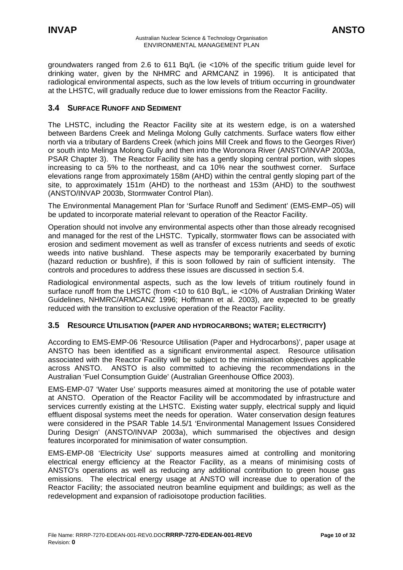<span id="page-9-0"></span>groundwaters ranged from 2.6 to 611 Bq/L (ie <10% of the specific tritium guide level for drinking water, given by the NHMRC and ARMCANZ in 1996). It is anticipated that radiological environmental aspects, such as the low levels of tritium occurring in groundwater at the LHSTC, will gradually reduce due to lower emissions from the Reactor Facility.

# **3.4 SURFACE RUNOFF AND SEDIMENT**

The LHSTC, including the Reactor Facility site at its western edge, is on a watershed between Bardens Creek and Melinga Molong Gully catchments. Surface waters flow either north via a tributary of Bardens Creek (which joins Mill Creek and flows to the Georges River) or south into Melinga Molong Gully and then into the Woronora River (ANSTO/INVAP 2003a, PSAR Chapter 3). The Reactor Facility site has a gently sloping central portion, with slopes increasing to ca 5% to the northeast, and ca 10% near the southwest corner. Surface elevations range from approximately 158m (AHD) within the central gently sloping part of the site, to approximately 151m (AHD) to the northeast and 153m (AHD) to the southwest (ANSTO/INVAP 2003b, Stormwater Control Plan).

The Environmental Management Plan for 'Surface Runoff and Sediment' (EMS-EMP–05) will be updated to incorporate material relevant to operation of the Reactor Facility.

Operation should not involve any environmental aspects other than those already recognised and managed for the rest of the LHSTC. Typically, stormwater flows can be associated with erosion and sediment movement as well as transfer of excess nutrients and seeds of exotic weeds into native bushland. These aspects may be temporarily exacerbated by burning (hazard reduction or bushfire), if this is soon followed by rain of sufficient intensity. The controls and procedures to address these issues are discussed in section 5.4.

Radiological environmental aspects, such as the low levels of tritium routinely found in surface runoff from the LHSTC (from <10 to 610 Bq/L, ie <10% of Australian Drinking Water Guidelines, NHMRC/ARMCANZ 1996; Hoffmann et al. 2003), are expected to be greatly reduced with the transition to exclusive operation of the Reactor Facility.

# **3.5 RESOURCE UTILISATION (PAPER AND HYDROCARBONS; WATER; ELECTRICITY)**

According to EMS-EMP-06 'Resource Utilisation (Paper and Hydrocarbons)', paper usage at ANSTO has been identified as a significant environmental aspect. Resource utilisation associated with the Reactor Facility will be subject to the minimisation objectives applicable across ANSTO. ANSTO is also committed to achieving the recommendations in the Australian 'Fuel Consumption Guide' (Australian Greenhouse Office 2003).

EMS-EMP-07 'Water Use' supports measures aimed at monitoring the use of potable water at ANSTO. Operation of the Reactor Facility will be accommodated by infrastructure and services currently existing at the LHSTC. Existing water supply, electrical supply and liquid effluent disposal systems meet the needs for operation. Water conservation design features were considered in the PSAR Table 14.5/1 'Environmental Management Issues Considered During Design' (ANSTO/INVAP 2003a), which summarised the objectives and design features incorporated for minimisation of water consumption.

EMS-EMP-08 'Electricity Use' supports measures aimed at controlling and monitoring electrical energy efficiency at the Reactor Facility, as a means of minimising costs of ANSTO's operations as well as reducing any additional contribution to green house gas emissions. The electrical energy usage at ANSTO will increase due to operation of the Reactor Facility; the associated neutron beamline equipment and buildings; as well as the redevelopment and expansion of radioisotope production facilities.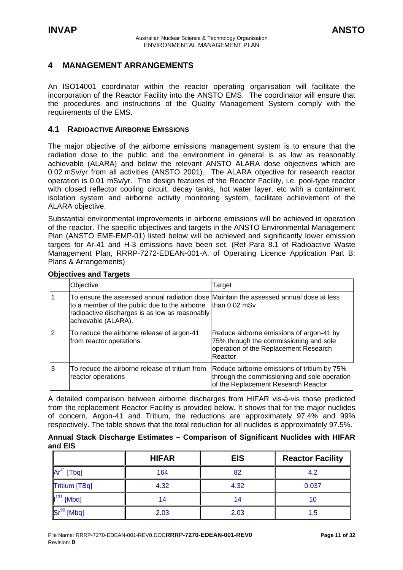# <span id="page-10-0"></span>**4 MANAGEMENT ARRANGEMENTS**

An ISO14001 coordinator within the reactor operating organisation will facilitate the incorporation of the Reactor Facility into the ANSTO EMS. The coordinator will ensure that the procedures and instructions of the Quality Management System comply with the requirements of the EMS.

# **4.1 RADIOACTIVE AIRBORNE EMISSIONS**

The major objective of the airborne emissions management system is to ensure that the radiation dose to the public and the environment in general is as low as reasonably achievable (ALARA) and below the relevant ANSTO ALARA dose objectives which are 0.02 mSv/yr from all activities (ANSTO 2001). The ALARA objective for research reactor operation is 0.01 mSv/yr. The design features of the Reactor Facility, i.e. pool-type reactor with closed reflector cooling circuit, decay tanks, hot water layer, etc with a containment isolation system and airborne activity monitoring system, facilitate achievement of the ALARA objective.

Substantial environmental improvements in airborne emissions will be achieved in operation of the reactor. The specific objectives and targets in the ANSTO Environmental Management Plan (ANSTO EME-EMP-01) listed below will be achieved and significantly lower emission targets for Ar-41 and H-3 emissions have been set. (Ref Para 8.1 of Radioactive Waste Management Plan, RRRP-7272-EDEAN-001-A. of Operating Licence Application Part B: Plans & Arrangements)

|   | Objective                                                                                                                                                                                                                        | Target                                                                                                                                 |
|---|----------------------------------------------------------------------------------------------------------------------------------------------------------------------------------------------------------------------------------|----------------------------------------------------------------------------------------------------------------------------------------|
|   | To ensure the assessed annual radiation dose Maintain the assessed annual dose at less<br>to a member of the public due to the airborne   than 0.02 mSv<br>radioactive discharges is as low as reasonably<br>achievable (ALARA). |                                                                                                                                        |
| 2 | To reduce the airborne release of argon-41<br>from reactor operations.                                                                                                                                                           | Reduce airborne emissions of argon-41 by<br>75% through the commissioning and sole<br>operation of the Replacement Research<br>Reactor |
|   | To reduce the airborne release of tritium from<br>reactor operations                                                                                                                                                             | Reduce airborne emissions of tritium by 75%<br>through the commissioning and sole operation<br>of the Replacement Research Reactor     |

### **Objectives and Targets**

A detailed comparison between airborne discharges from HIFAR vis-à-vis those predicted from the replacement Reactor Facility is provided below. It shows that for the major nuclides of concern, Argon-41 and Tritium, the reductions are approximately 97.4% and 99% respectively. The table shows that the total reduction for all nuclides is approximately 97.5%.

|         | Annual Stack Discharge Estimates - Comparison of Significant Nuclides with HIFAR |  |  |  |  |
|---------|----------------------------------------------------------------------------------|--|--|--|--|
| and EIS |                                                                                  |  |  |  |  |

|                 | <b>HIFAR</b> | <b>EIS</b> | <b>Reactor Facility</b> |
|-----------------|--------------|------------|-------------------------|
| $Ar^{41}$ [Tbq] | 164          | 82         | 4.2                     |
| Tritium [TBq]   | 4.32         | 4.32       | 0.037                   |
| $I131$ [Mbq]    | 14           | 14         | 10                      |
| $Sr^{90}$ [Mbq] | 2.03         | 2.03       | 1.5                     |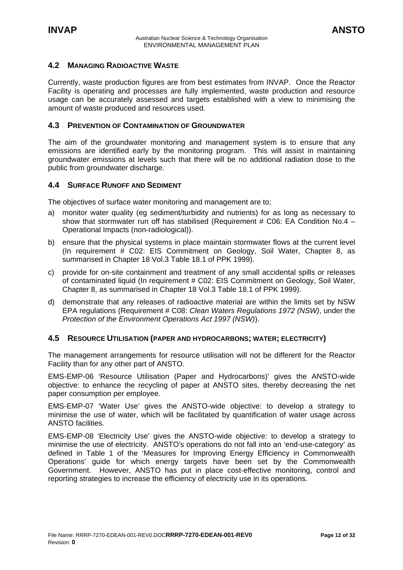# <span id="page-11-0"></span>**4.2 MANAGING RADIOACTIVE WASTE**

Currently, waste production figures are from best estimates from INVAP. Once the Reactor Facility is operating and processes are fully implemented, waste production and resource usage can be accurately assessed and targets established with a view to minimising the amount of waste produced and resources used.

### **4.3 PREVENTION OF CONTAMINATION OF GROUNDWATER**

The aim of the groundwater monitoring and management system is to ensure that any emissions are identified early by the monitoring program. This will assist in maintaining groundwater emissions at levels such that there will be no additional radiation dose to the public from groundwater discharge.

### **4.4 SURFACE RUNOFF AND SEDIMENT**

The objectives of surface water monitoring and management are to;

- a) monitor water quality (eg sediment/turbidity and nutrients) for as long as necessary to show that stormwater run off has stabilised (Requirement  $#$  C06: EA Condition No.4 – Operational Impacts (non-radiological)).
- b) ensure that the physical systems in place maintain stormwater flows at the current level (In requirement # C02: EIS Commitment on Geology, Soil Water, Chapter 8, as summarised in Chapter 18 Vol.3 Table 18.1 of PPK 1999).
- c) provide for on-site containment and treatment of any small accidental spills or releases of contaminated liquid (In requirement # C02: EIS Commitment on Geology, Soil Water, Chapter 8, as summarised in Chapter 18 Vol.3 Table 18.1 of PPK 1999).
- d) demonstrate that any releases of radioactive material are within the limits set by NSW EPA regulations (Requirement # C08: *Clean Waters Regulations 1972 (NSW)*, under the *Protection of the Environment Operations Act 1997 (NSW)*).

### **4.5 RESOURCE UTILISATION (PAPER AND HYDROCARBONS; WATER; ELECTRICITY)**

The management arrangements for resource utilisation will not be different for the Reactor Facility than for any other part of ANSTO.

EMS-EMP-06 'Resource Utilisation (Paper and Hydrocarbons)' gives the ANSTO-wide objective: to enhance the recycling of paper at ANSTO sites, thereby decreasing the net paper consumption per employee.

EMS-EMP-07 'Water Use' gives the ANSTO-wide objective: to develop a strategy to minimise the use of water, which will be facilitated by quantification of water usage across ANSTO facilities.

EMS-EMP-08 'Electricity Use' gives the ANSTO-wide objective: to develop a strategy to minimise the use of electricity. ANSTO's operations do not fall into an 'end-use-category' as defined in Table 1 of the 'Measures for Improving Energy Efficiency in Commonwealth Operations' guide for which energy targets have been set by the Commonwealth Government. However, ANSTO has put in place cost-effective monitoring, control and reporting strategies to increase the efficiency of electricity use in its operations.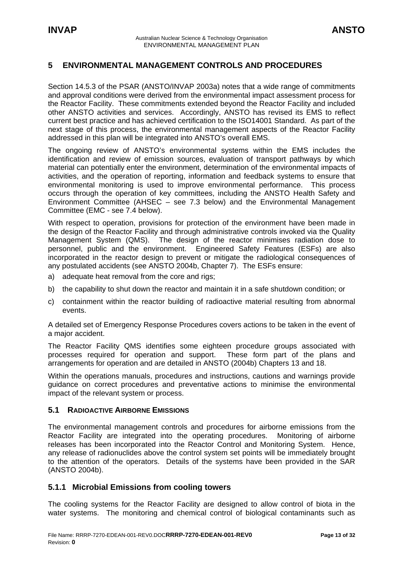# <span id="page-12-0"></span>**5 ENVIRONMENTAL MANAGEMENT CONTROLS AND PROCEDURES**

Section 14.5.3 of the PSAR (ANSTO/INVAP 2003a) notes that a wide range of commitments and approval conditions were derived from the environmental impact assessment process for the Reactor Facility. These commitments extended beyond the Reactor Facility and included other ANSTO activities and services. Accordingly, ANSTO has revised its EMS to reflect current best practice and has achieved certification to the ISO14001 Standard. As part of the next stage of this process, the environmental management aspects of the Reactor Facility addressed in this plan will be integrated into ANSTO's overall EMS.

The ongoing review of ANSTO's environmental systems within the EMS includes the identification and review of emission sources, evaluation of transport pathways by which material can potentially enter the environment, determination of the environmental impacts of activities, and the operation of reporting, information and feedback systems to ensure that environmental monitoring is used to improve environmental performance. This process occurs through the operation of key committees, including the ANSTO Health Safety and Environment Committee (AHSEC – see 7.3 below) and the Environmental Management Committee (EMC - see 7.4 below).

With respect to operation, provisions for protection of the environment have been made in the design of the Reactor Facility and through administrative controls invoked via the Quality Management System (QMS). The design of the reactor minimises radiation dose to personnel, public and the environment. Engineered Safety Features (ESFs) are also incorporated in the reactor design to prevent or mitigate the radiological consequences of any postulated accidents (see ANSTO 2004b, Chapter 7). The ESFs ensure:

- a) adequate heat removal from the core and rigs;
- b) the capability to shut down the reactor and maintain it in a safe shutdown condition; or
- c) containment within the reactor building of radioactive material resulting from abnormal events.

A detailed set of Emergency Response Procedures covers actions to be taken in the event of a major accident.

The Reactor Facility QMS identifies some eighteen procedure groups associated with processes required for operation and support. These form part of the plans and arrangements for operation and are detailed in ANSTO (2004b) Chapters 13 and 18.

Within the operations manuals, procedures and instructions, cautions and warnings provide guidance on correct procedures and preventative actions to minimise the environmental impact of the relevant system or process.

# **5.1 RADIOACTIVE AIRBORNE EMISSIONS**

The environmental management controls and procedures for airborne emissions from the Reactor Facility are integrated into the operating procedures. Monitoring of airborne releases has been incorporated into the Reactor Control and Monitoring System. Hence, any release of radionuclides above the control system set points will be immediately brought to the attention of the operators. Details of the systems have been provided in the SAR (ANSTO 2004b).

# **5.1.1 Microbial Emissions from cooling towers**

The cooling systems for the Reactor Facility are designed to allow control of biota in the water systems. The monitoring and chemical control of biological contaminants such as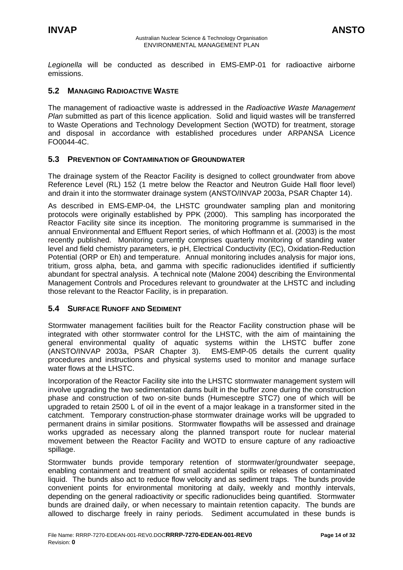<span id="page-13-0"></span>*Legionella* will be conducted as described in EMS-EMP-01 for radioactive airborne emissions.

# **5.2 MANAGING RADIOACTIVE WASTE**

The management of radioactive waste is addressed in the *Radioactive Waste Management Plan* submitted as part of this licence application. Solid and liquid wastes will be transferred to Waste Operations and Technology Development Section (WOTD) for treatment, storage and disposal in accordance with established procedures under ARPANSA Licence FO0044-4C.

# **5.3 PREVENTION OF CONTAMINATION OF GROUNDWATER**

The drainage system of the Reactor Facility is designed to collect groundwater from above Reference Level (RL) 152 (1 metre below the Reactor and Neutron Guide Hall floor level) and drain it into the stormwater drainage system (ANSTO/INVAP 2003a, PSAR Chapter 14).

As described in EMS-EMP-04, the LHSTC groundwater sampling plan and monitoring protocols were originally established by PPK (2000). This sampling has incorporated the Reactor Facility site since its inception. The monitoring programme is summarised in the annual Environmental and Effluent Report series, of which Hoffmann et al. (2003) is the most recently published. Monitoring currently comprises quarterly monitoring of standing water level and field chemistry parameters, ie pH, Electrical Conductivity (EC), Oxidation-Reduction Potential (ORP or Eh) and temperature. Annual monitoring includes analysis for major ions, tritium, gross alpha, beta, and gamma with specific radionuclides identified if sufficiently abundant for spectral analysis. A technical note (Malone 2004) describing the Environmental Management Controls and Procedures relevant to groundwater at the LHSTC and including those relevant to the Reactor Facility, is in preparation.

# **5.4 SURFACE RUNOFF AND SEDIMENT**

Stormwater management facilities built for the Reactor Facility construction phase will be integrated with other stormwater control for the LHSTC, with the aim of maintaining the general environmental quality of aquatic systems within the LHSTC buffer zone (ANSTO/INVAP 2003a, PSAR Chapter 3). EMS-EMP-05 details the current quality procedures and instructions and physical systems used to monitor and manage surface water flows at the LHSTC.

Incorporation of the Reactor Facility site into the LHSTC stormwater management system will involve upgrading the two sedimentation dams built in the buffer zone during the construction phase and construction of two on-site bunds (Humesceptre STC7) one of which will be upgraded to retain 2500 L of oil in the event of a major leakage in a transformer sited in the catchment. Temporary construction-phase stormwater drainage works will be upgraded to permanent drains in similar positions. Stormwater flowpaths will be assessed and drainage works upgraded as necessary along the planned transport route for nuclear material movement between the Reactor Facility and WOTD to ensure capture of any radioactive spillage.

Stormwater bunds provide temporary retention of stormwater/groundwater seepage, enabling containment and treatment of small accidental spills or releases of contaminated liquid. The bunds also act to reduce flow velocity and as sediment traps. The bunds provide convenient points for environmental monitoring at daily, weekly and monthly intervals, depending on the general radioactivity or specific radionuclides being quantified. Stormwater bunds are drained daily, or when necessary to maintain retention capacity. The bunds are allowed to discharge freely in rainy periods. Sediment accumulated in these bunds is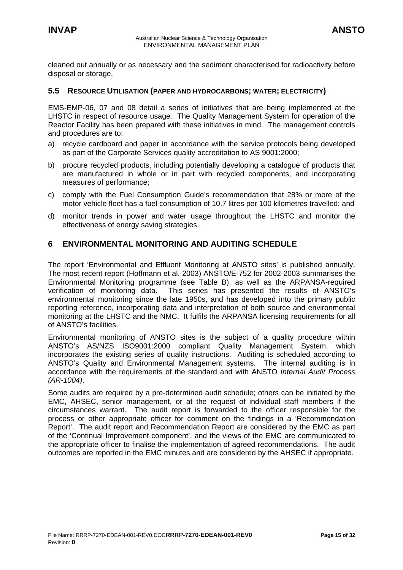<span id="page-14-0"></span>cleaned out annually or as necessary and the sediment characterised for radioactivity before disposal or storage.

### **5.5 RESOURCE UTILISATION (PAPER AND HYDROCARBONS; WATER; ELECTRICITY)**

EMS-EMP-06, 07 and 08 detail a series of initiatives that are being implemented at the LHSTC in respect of resource usage. The Quality Management System for operation of the Reactor Facility has been prepared with these initiatives in mind. The management controls and procedures are to:

- a) recycle cardboard and paper in accordance with the service protocols being developed as part of the Corporate Services quality accreditation to AS 9001:2000;
- b) procure recycled products, including potentially developing a catalogue of products that are manufactured in whole or in part with recycled components, and incorporating measures of performance;
- c) comply with the Fuel Consumption Guide's recommendation that 28% or more of the motor vehicle fleet has a fuel consumption of 10.7 litres per 100 kilometres travelled; and
- d) monitor trends in power and water usage throughout the LHSTC and monitor the effectiveness of energy saving strategies.

# **6 ENVIRONMENTAL MONITORING AND AUDITING SCHEDULE**

The report 'Environmental and Effluent Monitoring at ANSTO sites' is published annually. The most recent report (Hoffmann et al. 2003) ANSTO/E-752 for 2002-2003 summarises the Environmental Monitoring programme (see Table B), as well as the ARPANSA-required verification of monitoring data. This series has presented the results of ANSTO's environmental monitoring since the late 1950s, and has developed into the primary public reporting reference, incorporating data and interpretation of both source and environmental monitoring at the LHSTC and the NMC. It fulfils the ARPANSA licensing requirements for all of ANSTO's facilities.

Environmental monitoring of ANSTO sites is the subject of a quality procedure within ANSTO's AS/NZS ISO9001:2000 compliant Quality Management System, which incorporates the existing series of quality instructions. Auditing is scheduled according to ANSTO's Quality and Environmental Management systems. The internal auditing is in accordance with the requirements of the standard and with ANSTO *Internal Audit Process (AR-1004)*.

Some audits are required by a pre-determined audit schedule; others can be initiated by the EMC, AHSEC, senior management, or at the request of individual staff members if the circumstances warrant. The audit report is forwarded to the officer responsible for the process or other appropriate officer for comment on the findings in a 'Recommendation Report'. The audit report and Recommendation Report are considered by the EMC as part of the 'Continual Improvement component', and the views of the EMC are communicated to the appropriate officer to finalise the implementation of agreed recommendations. The audit outcomes are reported in the EMC minutes and are considered by the AHSEC if appropriate.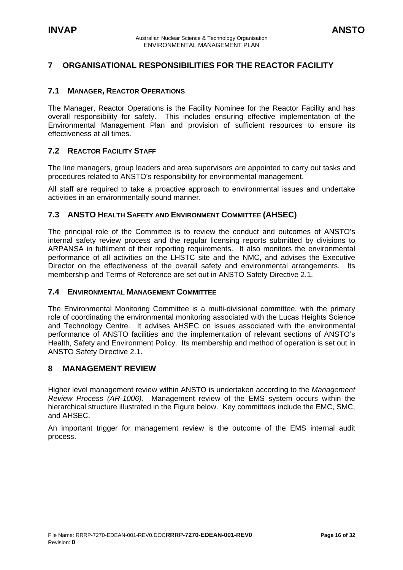# <span id="page-15-0"></span>**7 ORGANISATIONAL RESPONSIBILITIES FOR THE REACTOR FACILITY**

# **7.1 MANAGER, REACTOR OPERATIONS**

The Manager, Reactor Operations is the Facility Nominee for the Reactor Facility and has overall responsibility for safety. This includes ensuring effective implementation of the Environmental Management Plan and provision of sufficient resources to ensure its effectiveness at all times.

# **7.2 REACTOR FACILITY STAFF**

The line managers, group leaders and area supervisors are appointed to carry out tasks and procedures related to ANSTO's responsibility for environmental management.

All staff are required to take a proactive approach to environmental issues and undertake activities in an environmentally sound manner.

# **7.3 ANSTO HEALTH SAFETY AND ENVIRONMENT COMMITTEE (AHSEC)**

The principal role of the Committee is to review the conduct and outcomes of ANSTO's internal safety review process and the regular licensing reports submitted by divisions to ARPANSA in fulfilment of their reporting requirements. It also monitors the environmental performance of all activities on the LHSTC site and the NMC, and advises the Executive Director on the effectiveness of the overall safety and environmental arrangements. Its membership and Terms of Reference are set out in ANSTO Safety Directive 2.1.

# **7.4 ENVIRONMENTAL MANAGEMENT COMMITTEE**

The Environmental Monitoring Committee is a multi-divisional committee, with the primary role of coordinating the environmental monitoring associated with the Lucas Heights Science and Technology Centre. It advises AHSEC on issues associated with the environmental performance of ANSTO facilities and the implementation of relevant sections of ANSTO's Health, Safety and Environment Policy. Its membership and method of operation is set out in ANSTO Safety Directive 2.1.

# **8 MANAGEMENT REVIEW**

Higher level management review within ANSTO is undertaken according to the *Management Review Process (AR-1006).* Management review of the EMS system occurs within the hierarchical structure illustrated in the Figure below. Key committees include the EMC, SMC, and AHSEC.

An important trigger for management review is the outcome of the EMS internal audit process.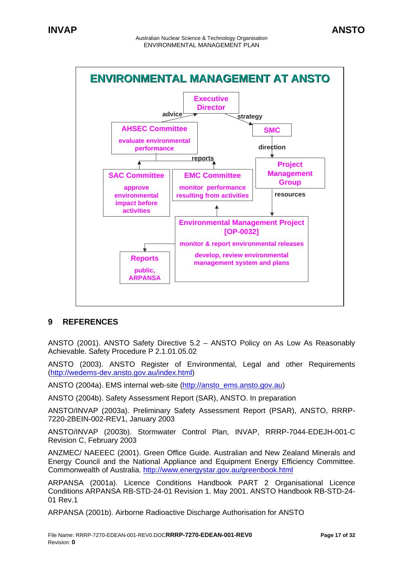<span id="page-16-0"></span>

# **9 REFERENCES**

ANSTO (2001). ANSTO Safety Directive 5.2 – ANSTO Policy on As Low As Reasonably Achievable. Safety Procedure P 2.1.01.05.02

ANSTO (2003). ANSTO Register of Environmental, Legal and other Requirements ([http://wedems-dev.ansto.gov.au/index.html\)](http://wedems-dev.ansto.gov.au/index.html)

ANSTO (2004a). EMS internal web-site ([http://ansto\\_ems.ansto.gov.au](http://ansto_ems.ansto.gov.au/))

ANSTO (2004b). Safety Assessment Report (SAR), ANSTO. In preparation

ANSTO/INVAP (2003a). Preliminary Safety Assessment Report (PSAR), ANSTO, RRRP-7220-2BEIN-002-REV1, January 2003

ANSTO/INVAP (2003b). Stormwater Control Plan, INVAP, RRRP-7044-EDEJH-001-C Revision C, February 2003

ANZMEC/ NAEEEC (2001). Green Office Guide. Australian and New Zealand Minerals and Energy Council and the National Appliance and Equipment Energy Efficiency Committee. Commonwealth of Australia. <http://www.energystar.gov.au/greenbook.html>

ARPANSA (2001a). Licence Conditions Handbook PART 2 Organisational Licence Conditions ARPANSA RB-STD-24-01 Revision 1. May 2001. ANSTO Handbook RB-STD-24- 01 Rev.1

ARPANSA (2001b). Airborne Radioactive Discharge Authorisation for ANSTO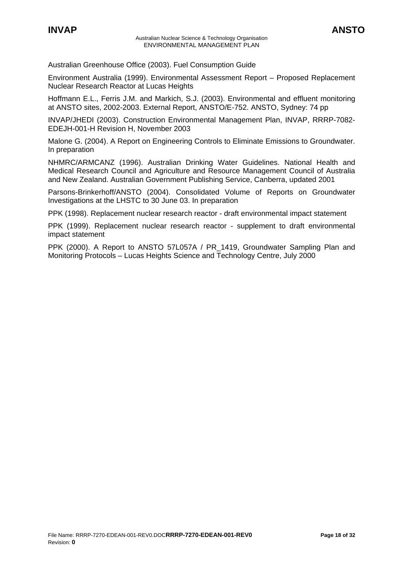Australian Greenhouse Office (2003). Fuel Consumption Guide

Environment Australia (1999). Environmental Assessment Report – Proposed Replacement Nuclear Research Reactor at Lucas Heights

Hoffmann E.L., Ferris J.M. and Markich, S.J. (2003). Environmental and effluent monitoring at ANSTO sites, 2002-2003. External Report, ANSTO/E-752. ANSTO, Sydney: 74 pp

INVAP/JHEDI (2003). Construction Environmental Management Plan, INVAP, RRRP-7082- EDEJH-001-H Revision H, November 2003

Malone G. (2004). A Report on Engineering Controls to Eliminate Emissions to Groundwater. In preparation

NHMRC/ARMCANZ (1996). Australian Drinking Water Guidelines. National Health and Medical Research Council and Agriculture and Resource Management Council of Australia and New Zealand. Australian Government Publishing Service, Canberra, updated 2001

Parsons-Brinkerhoff/ANSTO (2004). Consolidated Volume of Reports on Groundwater Investigations at the LHSTC to 30 June 03. In preparation

PPK (1998). Replacement nuclear research reactor - draft environmental impact statement

PPK (1999). Replacement nuclear research reactor - supplement to draft environmental impact statement

PPK (2000). A Report to ANSTO 57L057A / PR\_1419, Groundwater Sampling Plan and Monitoring Protocols – Lucas Heights Science and Technology Centre, July 2000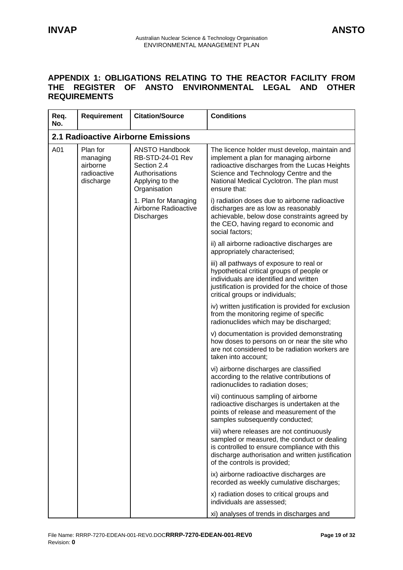# <span id="page-18-0"></span>**APPENDIX 1: OBLIGATIONS RELATING TO THE REACTOR FACILITY FROM THE REGISTER OF ANSTO ENVIRONMENTAL LEGAL AND OTHER REQUIREMENTS**

| Req.<br>No. | <b>Requirement</b>                                           | <b>Citation/Source</b>                                                                                               | <b>Conditions</b>                                                                                                                                                                                                                              |  |  |  |
|-------------|--------------------------------------------------------------|----------------------------------------------------------------------------------------------------------------------|------------------------------------------------------------------------------------------------------------------------------------------------------------------------------------------------------------------------------------------------|--|--|--|
|             | <b>2.1 Radioactive Airborne Emissions</b>                    |                                                                                                                      |                                                                                                                                                                                                                                                |  |  |  |
| A01         | Plan for<br>managing<br>airborne<br>radioactive<br>discharge | <b>ANSTO Handbook</b><br><b>RB-STD-24-01 Rev</b><br>Section 2.4<br>Authorisations<br>Applying to the<br>Organisation | The licence holder must develop, maintain and<br>implement a plan for managing airborne<br>radioactive discharges from the Lucas Heights<br>Science and Technology Centre and the<br>National Medical Cyclotron. The plan must<br>ensure that: |  |  |  |
|             |                                                              | 1. Plan for Managing<br>Airborne Radioactive<br><b>Discharges</b>                                                    | i) radiation doses due to airborne radioactive<br>discharges are as low as reasonably<br>achievable, below dose constraints agreed by<br>the CEO, having regard to economic and<br>social factors:                                             |  |  |  |
|             |                                                              |                                                                                                                      | ii) all airborne radioactive discharges are<br>appropriately characterised;                                                                                                                                                                    |  |  |  |
|             |                                                              |                                                                                                                      | iii) all pathways of exposure to real or<br>hypothetical critical groups of people or<br>individuals are identified and written<br>justification is provided for the choice of those<br>critical groups or individuals;                        |  |  |  |
|             |                                                              |                                                                                                                      | iv) written justification is provided for exclusion<br>from the monitoring regime of specific<br>radionuclides which may be discharged;                                                                                                        |  |  |  |
|             |                                                              |                                                                                                                      | v) documentation is provided demonstrating<br>how doses to persons on or near the site who<br>are not considered to be radiation workers are<br>taken into account;                                                                            |  |  |  |
|             |                                                              |                                                                                                                      | vi) airborne discharges are classified<br>according to the relative contributions of<br>radionuclides to radiation doses;                                                                                                                      |  |  |  |
|             |                                                              |                                                                                                                      | vii) continuous sampling of airborne<br>radioactive discharges is undertaken at the<br>points of release and measurement of the<br>samples subsequently conducted;                                                                             |  |  |  |
|             |                                                              |                                                                                                                      | viii) where releases are not continuously<br>sampled or measured, the conduct or dealing<br>is controlled to ensure compliance with this<br>discharge authorisation and written justification<br>of the controls is provided;                  |  |  |  |
|             |                                                              |                                                                                                                      | ix) airborne radioactive discharges are<br>recorded as weekly cumulative discharges;                                                                                                                                                           |  |  |  |
|             |                                                              |                                                                                                                      | x) radiation doses to critical groups and<br>individuals are assessed;                                                                                                                                                                         |  |  |  |
|             |                                                              |                                                                                                                      | xi) analyses of trends in discharges and                                                                                                                                                                                                       |  |  |  |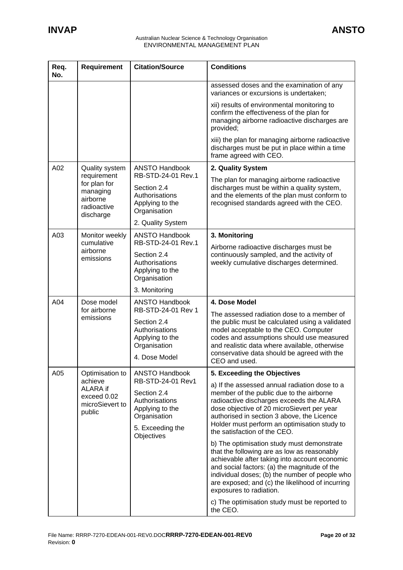| Req.<br>No. | <b>Requirement</b>                                                              | <b>Citation/Source</b>                                                                                                           | <b>Conditions</b>                                                                                                                                                                                                                                                                                                           |
|-------------|---------------------------------------------------------------------------------|----------------------------------------------------------------------------------------------------------------------------------|-----------------------------------------------------------------------------------------------------------------------------------------------------------------------------------------------------------------------------------------------------------------------------------------------------------------------------|
|             |                                                                                 |                                                                                                                                  | assessed doses and the examination of any<br>variances or excursions is undertaken;                                                                                                                                                                                                                                         |
|             |                                                                                 |                                                                                                                                  | xii) results of environmental monitoring to<br>confirm the effectiveness of the plan for<br>managing airborne radioactive discharges are<br>provided;                                                                                                                                                                       |
|             |                                                                                 |                                                                                                                                  | xiii) the plan for managing airborne radioactive<br>discharges must be put in place within a time<br>frame agreed with CEO.                                                                                                                                                                                                 |
| A02         | <b>Quality system</b>                                                           | <b>ANSTO Handbook</b><br>RB-STD-24-01 Rev.1                                                                                      | 2. Quality System                                                                                                                                                                                                                                                                                                           |
|             | requirement<br>for plan for<br>managing<br>airborne<br>radioactive<br>discharge | Section 2.4<br>Authorisations<br>Applying to the<br>Organisation                                                                 | The plan for managing airborne radioactive<br>discharges must be within a quality system,<br>and the elements of the plan must conform to<br>recognised standards agreed with the CEO.                                                                                                                                      |
| A03         |                                                                                 | 2. Quality System<br><b>ANSTO Handbook</b>                                                                                       |                                                                                                                                                                                                                                                                                                                             |
|             | Monitor weekly<br>cumulative                                                    | RB-STD-24-01 Rev.1                                                                                                               | 3. Monitoring<br>Airborne radioactive discharges must be                                                                                                                                                                                                                                                                    |
|             | airborne<br>emissions                                                           | Section 2.4<br>Authorisations<br>Applying to the<br>Organisation                                                                 | continuously sampled, and the activity of<br>weekly cumulative discharges determined.                                                                                                                                                                                                                                       |
|             |                                                                                 | 3. Monitoring                                                                                                                    |                                                                                                                                                                                                                                                                                                                             |
| A04         | Dose model<br>for airborne<br>emissions                                         | <b>ANSTO Handbook</b><br>RB-STD-24-01 Rev 1<br>Section 2.4<br>Authorisations<br>Applying to the<br>Organisation<br>4. Dose Model | 4. Dose Model<br>The assessed radiation dose to a member of<br>the public must be calculated using a validated<br>model acceptable to the CEO. Computer<br>codes and assumptions should use measured<br>and realistic data where available, otherwise<br>conservative data should be agreed with the<br>CEO and used.       |
| A05         | Optimisation to                                                                 | <b>ANSTO Handbook</b>                                                                                                            | 5. Exceeding the Objectives                                                                                                                                                                                                                                                                                                 |
|             | achieve<br>ALARA if<br>exceed 0.02<br>microSievert to<br>public                 | RB-STD-24-01 Rev1<br>Section 2.4<br>Authorisations<br>Applying to the<br>Organisation<br>5. Exceeding the<br>Objectives          | a) If the assessed annual radiation dose to a<br>member of the public due to the airborne<br>radioactive discharges exceeds the ALARA<br>dose objective of 20 microSievert per year<br>authorised in section 3 above, the Licence<br>Holder must perform an optimisation study to<br>the satisfaction of the CEO.           |
|             |                                                                                 |                                                                                                                                  | b) The optimisation study must demonstrate<br>that the following are as low as reasonably<br>achievable after taking into account economic<br>and social factors: (a) the magnitude of the<br>individual doses; (b) the number of people who<br>are exposed; and (c) the likelihood of incurring<br>exposures to radiation. |
|             |                                                                                 |                                                                                                                                  | c) The optimisation study must be reported to<br>the CEO.                                                                                                                                                                                                                                                                   |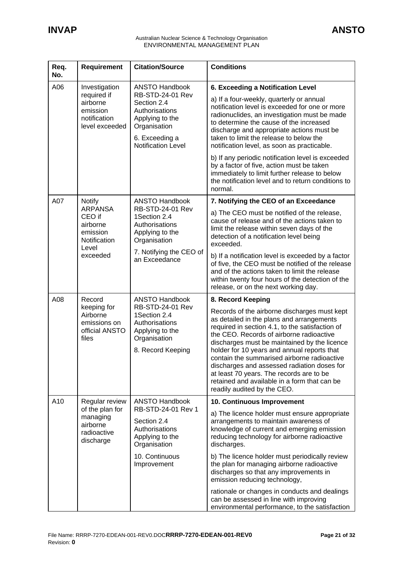| Req.<br>No. | <b>Requirement</b>                                                                         | <b>Citation/Source</b>                                                                                                                                              | <b>Conditions</b>                                                                                                                                                                                                                                                                                                                                                                                                                                                                                                                                                          |
|-------------|--------------------------------------------------------------------------------------------|---------------------------------------------------------------------------------------------------------------------------------------------------------------------|----------------------------------------------------------------------------------------------------------------------------------------------------------------------------------------------------------------------------------------------------------------------------------------------------------------------------------------------------------------------------------------------------------------------------------------------------------------------------------------------------------------------------------------------------------------------------|
| A06         | Investigation<br>required if<br>airborne<br>emission<br>notification<br>level exceeded     | <b>ANSTO Handbook</b><br><b>RB-STD-24-01 Rev</b><br>Section 2.4<br>Authorisations<br>Applying to the<br>Organisation<br>6. Exceeding a<br><b>Notification Level</b> | 6. Exceeding a Notification Level<br>a) If a four-weekly, quarterly or annual<br>notification level is exceeded for one or more<br>radionuclides, an investigation must be made<br>to determine the cause of the increased<br>discharge and appropriate actions must be<br>taken to limit the release to below the<br>notification level, as soon as practicable.<br>b) If any periodic notification level is exceeded<br>by a factor of five, action must be taken<br>immediately to limit further release to below<br>the notification level and to return conditions to |
| A07         | <b>Notify</b><br><b>ARPANSA</b><br>CEO if<br>airborne<br>emission<br>Notification<br>Level | <b>ANSTO Handbook</b><br><b>RB-STD-24-01 Rev</b><br>1Section 2.4<br>Authorisations<br>Applying to the<br>Organisation                                               | normal.<br>7. Notifying the CEO of an Exceedance<br>a) The CEO must be notified of the release,<br>cause of release and of the actions taken to<br>limit the release within seven days of the<br>detection of a notification level being<br>exceeded.                                                                                                                                                                                                                                                                                                                      |
|             | exceeded                                                                                   | 7. Notifying the CEO of<br>an Exceedance                                                                                                                            | b) If a notification level is exceeded by a factor<br>of five, the CEO must be notified of the release<br>and of the actions taken to limit the release<br>within twenty four hours of the detection of the<br>release, or on the next working day.                                                                                                                                                                                                                                                                                                                        |
| A08         | Record<br>keeping for<br>Airborne<br>emissions on<br>official ANSTO<br>files               | <b>ANSTO Handbook</b><br><b>RB-STD-24-01 Rev</b><br>1Section 2.4<br>Authorisations<br>Applying to the<br>Organisation<br>8. Record Keeping                          | 8. Record Keeping<br>Records of the airborne discharges must kept<br>as detailed in the plans and arrangements<br>required in section 4.1, to the satisfaction of<br>the CEO. Records of airborne radioactive<br>discharges must be maintained by the licence<br>holder for 10 years and annual reports that<br>contain the summarised airborne radioactive<br>discharges and assessed radiation doses for<br>at least 70 years. The records are to be<br>retained and available in a form that can be<br>readily audited by the CEO.                                      |
| A10         | Regular review<br>of the plan for<br>managing<br>airborne<br>radioactive<br>discharge      | <b>ANSTO Handbook</b><br>RB-STD-24-01 Rev 1<br>Section 2.4<br>Authorisations<br>Applying to the<br>Organisation<br>10. Continuous<br>Improvement                    | 10. Continuous Improvement<br>a) The licence holder must ensure appropriate<br>arrangements to maintain awareness of<br>knowledge of current and emerging emission<br>reducing technology for airborne radioactive<br>discharges.<br>b) The licence holder must periodically review<br>the plan for managing airborne radioactive<br>discharges so that any improvements in<br>emission reducing technology,<br>rationale or changes in conducts and dealings<br>can be assessed in line with improving<br>environmental performance, to the satisfaction                  |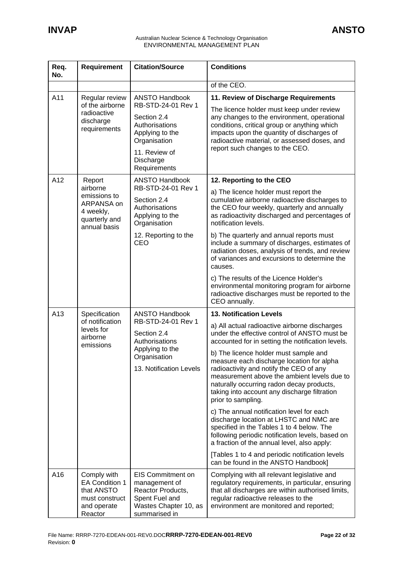| Req.<br>No. | <b>Requirement</b>                                                                             | <b>Citation/Source</b>                                                                                                     | <b>Conditions</b>                                                                                                                                                                                                                                                                               |
|-------------|------------------------------------------------------------------------------------------------|----------------------------------------------------------------------------------------------------------------------------|-------------------------------------------------------------------------------------------------------------------------------------------------------------------------------------------------------------------------------------------------------------------------------------------------|
|             |                                                                                                |                                                                                                                            | of the CEO.                                                                                                                                                                                                                                                                                     |
| A11         | Regular review                                                                                 | <b>ANSTO Handbook</b>                                                                                                      | 11. Review of Discharge Requirements                                                                                                                                                                                                                                                            |
|             | of the airborne<br>radioactive<br>discharge<br>requirements                                    | RB-STD-24-01 Rev 1<br>Section 2.4<br>Authorisations<br>Applying to the<br>Organisation<br>11. Review of                    | The licence holder must keep under review<br>any changes to the environment, operational<br>conditions, critical group or anything which<br>impacts upon the quantity of discharges of<br>radioactive material, or assessed doses, and<br>report such changes to the CEO.                       |
|             |                                                                                                | Discharge<br>Requirements                                                                                                  |                                                                                                                                                                                                                                                                                                 |
| A12         | Report<br>airborne                                                                             | <b>ANSTO Handbook</b><br>RB-STD-24-01 Rev 1                                                                                | 12. Reporting to the CEO                                                                                                                                                                                                                                                                        |
|             | emissions to<br>ARPANSA on<br>4 weekly,<br>quarterly and<br>annual basis                       | Section 2.4<br>Authorisations<br>Applying to the<br>Organisation                                                           | a) The licence holder must report the<br>cumulative airborne radioactive discharges to<br>the CEO four weekly, quarterly and annually<br>as radioactivity discharged and percentages of<br>notification levels.                                                                                 |
|             |                                                                                                | 12. Reporting to the<br>CEO                                                                                                | b) The quarterly and annual reports must<br>include a summary of discharges, estimates of<br>radiation doses, analysis of trends, and review<br>of variances and excursions to determine the<br>causes.                                                                                         |
|             |                                                                                                |                                                                                                                            | c) The results of the Licence Holder's<br>environmental monitoring program for airborne<br>radioactive discharges must be reported to the<br>CEO annually.                                                                                                                                      |
| A13         | Specification                                                                                  | <b>ANSTO Handbook</b>                                                                                                      | <b>13. Notification Levels</b>                                                                                                                                                                                                                                                                  |
|             | of notification<br>levels for<br>airborne<br>emissions                                         | RB-STD-24-01 Rev 1<br>Section 2.4<br>Authorisations                                                                        | a) All actual radioactive airborne discharges<br>under the effective control of ANSTO must be<br>accounted for in setting the notification levels.                                                                                                                                              |
|             |                                                                                                | Applying to the<br>Organisation<br>13. Notification Levels                                                                 | b) The licence holder must sample and<br>measure each discharge location for alpha<br>radioactivity and notify the CEO of any<br>measurement above the ambient levels due to<br>naturally occurring radon decay products,<br>taking into account any discharge filtration<br>prior to sampling. |
|             |                                                                                                |                                                                                                                            | c) The annual notification level for each<br>discharge location at LHSTC and NMC are<br>specified in the Tables 1 to 4 below. The<br>following periodic notification levels, based on<br>a fraction of the annual level, also apply:                                                            |
|             |                                                                                                |                                                                                                                            | [Tables 1 to 4 and periodic notification levels<br>can be found in the ANSTO Handbook]                                                                                                                                                                                                          |
| A16         | Comply with<br><b>EA Condition 1</b><br>that ANSTO<br>must construct<br>and operate<br>Reactor | <b>EIS Commitment on</b><br>management of<br>Reactor Products,<br>Spent Fuel and<br>Wastes Chapter 10, as<br>summarised in | Complying with all relevant legislative and<br>regulatory requirements, in particular, ensuring<br>that all discharges are within authorised limits,<br>regular radioactive releases to the<br>environment are monitored and reported;                                                          |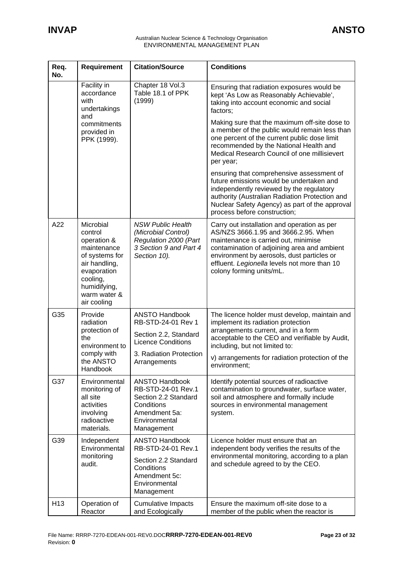| Req.<br>No.     | <b>Requirement</b>                                                                                                                                              | <b>Citation/Source</b>                                                                                                                       | <b>Conditions</b>                                                                                                                                                                                                                                                                                    |
|-----------------|-----------------------------------------------------------------------------------------------------------------------------------------------------------------|----------------------------------------------------------------------------------------------------------------------------------------------|------------------------------------------------------------------------------------------------------------------------------------------------------------------------------------------------------------------------------------------------------------------------------------------------------|
|                 | Facility in<br>accordance<br>with<br>undertakings<br>and                                                                                                        | Chapter 18 Vol.3<br>Table 18.1 of PPK<br>(1999)                                                                                              | Ensuring that radiation exposures would be<br>kept 'As Low as Reasonably Achievable',<br>taking into account economic and social<br>factors;                                                                                                                                                         |
|                 | commitments<br>provided in<br>PPK (1999).                                                                                                                       |                                                                                                                                              | Making sure that the maximum off-site dose to<br>a member of the public would remain less than<br>one percent of the current public dose limit<br>recommended by the National Health and<br>Medical Research Council of one millisievert<br>per year;                                                |
|                 |                                                                                                                                                                 |                                                                                                                                              | ensuring that comprehensive assessment of<br>future emissions would be undertaken and<br>independently reviewed by the regulatory<br>authority (Australian Radiation Protection and<br>Nuclear Safety Agency) as part of the approval<br>process before construction;                                |
| A22             | Microbial<br>control<br>operation &<br>maintenance<br>of systems for<br>air handling,<br>evaporation<br>cooling,<br>humidifying,<br>warm water &<br>air cooling | <b>NSW Public Health</b><br>(Microbial Control)<br>Regulation 2000 (Part<br>3 Section 9 and Part 4<br>Section 10).                           | Carry out installation and operation as per<br>AS/NZS 3666.1.95 and 3666.2.95. When<br>maintenance is carried out, minimise<br>contamination of adjoining area and ambient<br>environment by aerosols, dust particles or<br>effluent. Legionella levels not more than 10<br>colony forming units/mL. |
| G35             | Provide<br>radiation<br>protection of<br>the<br>environment to<br>comply with<br>the ANSTO<br>Handbook                                                          | <b>ANSTO Handbook</b><br>RB-STD-24-01 Rev 1<br>Section 2.2, Standard<br><b>Licence Conditions</b><br>3. Radiation Protection<br>Arrangements | The licence holder must develop, maintain and<br>implement its radiation protection<br>arrangements current, and in a form<br>acceptable to the CEO and verifiable by Audit,<br>including, but not limited to:<br>v) arrangements for radiation protection of the<br>environment;                    |
| G37             | Environmental<br>monitoring of<br>all site<br>activities<br>involving<br>radioactive<br>materials.                                                              | <b>ANSTO Handbook</b><br>RB-STD-24-01 Rev.1<br>Section 2.2 Standard<br>Conditions<br>Amendment 5a:<br>Environmental<br>Management            | Identify potential sources of radioactive<br>contamination to groundwater, surface water,<br>soil and atmosphere and formally include<br>sources in environmental management<br>system.                                                                                                              |
| G39             | Independent<br>Environmental<br>monitoring<br>audit.                                                                                                            | <b>ANSTO Handbook</b><br>RB-STD-24-01 Rev.1<br>Section 2.2 Standard<br>Conditions<br>Amendment 5c:<br>Environmental<br>Management            | Licence holder must ensure that an<br>independent body verifies the results of the<br>environmental monitoring, according to a plan<br>and schedule agreed to by the CEO.                                                                                                                            |
| H <sub>13</sub> | Operation of<br>Reactor                                                                                                                                         | <b>Cumulative Impacts</b><br>and Ecologically                                                                                                | Ensure the maximum off-site dose to a<br>member of the public when the reactor is                                                                                                                                                                                                                    |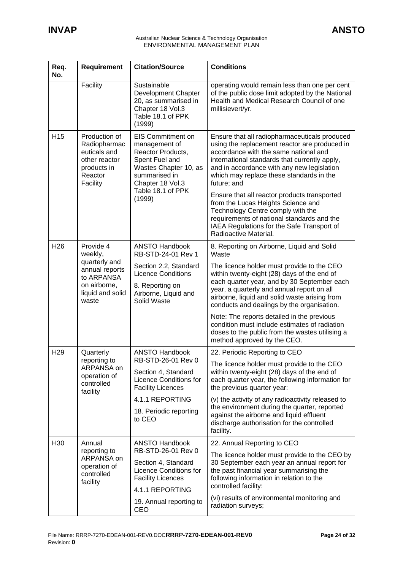| Req.<br>No.                                           | Requirement                                                                                | <b>Citation/Source</b>                                                                                                                                              | <b>Conditions</b>                                                                                                                                                                                                                                                                                 |
|-------------------------------------------------------|--------------------------------------------------------------------------------------------|---------------------------------------------------------------------------------------------------------------------------------------------------------------------|---------------------------------------------------------------------------------------------------------------------------------------------------------------------------------------------------------------------------------------------------------------------------------------------------|
|                                                       | Facility                                                                                   | Sustainable<br>Development Chapter<br>20, as summarised in<br>Chapter 18 Vol.3<br>Table 18.1 of PPK<br>(1999)                                                       | operating would remain less than one per cent<br>of the public dose limit adopted by the National<br>Health and Medical Research Council of one<br>millisievert/yr.                                                                                                                               |
| H <sub>15</sub><br>products in<br>Reactor<br>Facility | Production of<br>Radiopharmac<br>euticals and<br>other reactor                             | <b>EIS Commitment on</b><br>management of<br>Reactor Products,<br>Spent Fuel and<br>Wastes Chapter 10, as<br>summarised in<br>Chapter 18 Vol.3<br>Table 18.1 of PPK | Ensure that all radiopharmaceuticals produced<br>using the replacement reactor are produced in<br>accordance with the same national and<br>international standards that currently apply,<br>and in accordance with any new legislation<br>which may replace these standards in the<br>future; and |
|                                                       |                                                                                            | (1999)                                                                                                                                                              | Ensure that all reactor products transported<br>from the Lucas Heights Science and<br>Technology Centre comply with the<br>requirements of national standards and the<br>IAEA Regulations for the Safe Transport of<br>Radioactive Material.                                                      |
| H <sub>26</sub>                                       | Provide 4<br>weekly,                                                                       | <b>ANSTO Handbook</b><br>RB-STD-24-01 Rev 1                                                                                                                         | 8. Reporting on Airborne, Liquid and Solid<br>Waste                                                                                                                                                                                                                                               |
|                                                       | quarterly and<br>annual reports<br>to ARPANSA<br>on airborne,<br>liquid and solid<br>waste | Section 2.2, Standard<br><b>Licence Conditions</b><br>8. Reporting on<br>Airborne, Liquid and<br>Solid Waste                                                        | The licence holder must provide to the CEO<br>within twenty-eight (28) days of the end of<br>each quarter year, and by 30 September each<br>year, a quarterly and annual report on all<br>airborne, liquid and solid waste arising from<br>conducts and dealings by the organisation.             |
|                                                       |                                                                                            |                                                                                                                                                                     | Note: The reports detailed in the previous<br>condition must include estimates of radiation<br>doses to the public from the wastes utilising a<br>method approved by the CEO.                                                                                                                     |
| H <sub>29</sub>                                       | Quarterly<br>reporting to                                                                  | <b>ANSTO Handbook</b><br>RB-STD-26-01 Rev 0                                                                                                                         | 22. Periodic Reporting to CEO                                                                                                                                                                                                                                                                     |
|                                                       | ARPANSA on<br>operation of<br>controlled<br>facility                                       | Section 4, Standard<br><b>Licence Conditions for</b><br><b>Facility Licences</b>                                                                                    | The licence holder must provide to the CEO<br>within twenty-eight (28) days of the end of<br>each quarter year, the following information for<br>the previous quarter year:                                                                                                                       |
|                                                       |                                                                                            | 4.1.1 REPORTING                                                                                                                                                     | (v) the activity of any radioactivity released to<br>the environment during the quarter, reported                                                                                                                                                                                                 |
|                                                       |                                                                                            | 18. Periodic reporting<br>to CEO                                                                                                                                    | against the airborne and liquid effluent<br>discharge authorisation for the controlled<br>facility.                                                                                                                                                                                               |
| H30                                                   | Annual                                                                                     | <b>ANSTO Handbook</b><br>RB-STD-26-01 Rev 0                                                                                                                         | 22. Annual Reporting to CEO                                                                                                                                                                                                                                                                       |
|                                                       | reporting to<br>ARPANSA on<br>operation of<br>controlled<br>facility                       | Section 4, Standard<br><b>Licence Conditions for</b><br><b>Facility Licences</b><br>4.1.1 REPORTING                                                                 | The licence holder must provide to the CEO by<br>30 September each year an annual report for<br>the past financial year summarising the<br>following information in relation to the<br>controlled facility:                                                                                       |
|                                                       |                                                                                            | 19. Annual reporting to<br>CEO                                                                                                                                      | (vi) results of environmental monitoring and<br>radiation surveys;                                                                                                                                                                                                                                |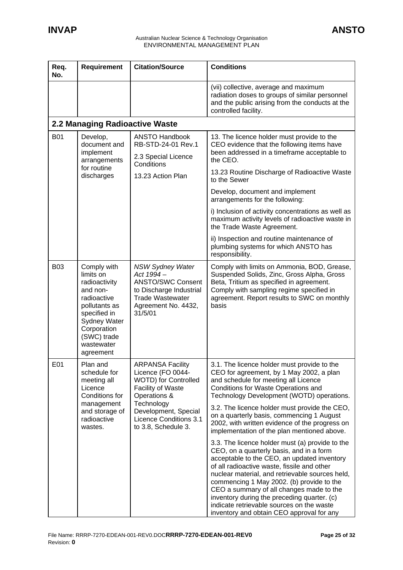| Req.<br>No. | Requirement                                                                                                                                                                    | <b>Citation/Source</b>                                                                                                                                   | <b>Conditions</b>                                                                                                                                                                                                                                                                                                                                                                                                                                                              |
|-------------|--------------------------------------------------------------------------------------------------------------------------------------------------------------------------------|----------------------------------------------------------------------------------------------------------------------------------------------------------|--------------------------------------------------------------------------------------------------------------------------------------------------------------------------------------------------------------------------------------------------------------------------------------------------------------------------------------------------------------------------------------------------------------------------------------------------------------------------------|
|             |                                                                                                                                                                                |                                                                                                                                                          | (vii) collective, average and maximum<br>radiation doses to groups of similar personnel<br>and the public arising from the conducts at the<br>controlled facility.                                                                                                                                                                                                                                                                                                             |
|             | 2.2 Managing Radioactive Waste                                                                                                                                                 |                                                                                                                                                          |                                                                                                                                                                                                                                                                                                                                                                                                                                                                                |
| <b>B01</b>  | Develop,<br>document and<br>implement<br>arrangements                                                                                                                          | <b>ANSTO Handbook</b><br>RB-STD-24-01 Rev.1<br>2.3 Special Licence                                                                                       | 13. The licence holder must provide to the<br>CEO evidence that the following items have<br>been addressed in a timeframe acceptable to<br>the CEO.                                                                                                                                                                                                                                                                                                                            |
|             | for routine<br>discharges                                                                                                                                                      | Conditions<br>13.23 Action Plan                                                                                                                          | 13.23 Routine Discharge of Radioactive Waste<br>to the Sewer                                                                                                                                                                                                                                                                                                                                                                                                                   |
|             |                                                                                                                                                                                |                                                                                                                                                          | Develop, document and implement<br>arrangements for the following:                                                                                                                                                                                                                                                                                                                                                                                                             |
|             |                                                                                                                                                                                |                                                                                                                                                          | i) Inclusion of activity concentrations as well as<br>maximum activity levels of radioactive waste in<br>the Trade Waste Agreement.                                                                                                                                                                                                                                                                                                                                            |
|             |                                                                                                                                                                                |                                                                                                                                                          | ii) Inspection and routine maintenance of<br>plumbing systems for which ANSTO has<br>responsibility.                                                                                                                                                                                                                                                                                                                                                                           |
| <b>B03</b>  | Comply with<br>limits on<br>radioactivity<br>and non-<br>radioactive<br>pollutants as<br>specified in<br>Sydney Water<br>Corporation<br>(SWC) trade<br>wastewater<br>agreement | <b>NSW Sydney Water</b><br>Act 1994-<br><b>ANSTO/SWC Consent</b><br>to Discharge Industrial<br><b>Trade Wastewater</b><br>Agreement No. 4432,<br>31/5/01 | Comply with limits on Ammonia, BOD, Grease,<br>Suspended Solids, Zinc, Gross Alpha, Gross<br>Beta, Tritium as specified in agreement.<br>Comply with sampling regime specified in<br>agreement. Report results to SWC on monthly<br>basis                                                                                                                                                                                                                                      |
| E01         | Plan and<br>schedule for<br>meeting all<br>Licence<br>Conditions for<br>management                                                                                             | <b>ARPANSA Facility</b><br>Licence (FO 0044-<br><b>WOTD)</b> for Controlled<br><b>Facility of Waste</b><br>Operations &<br>Technology                    | 3.1. The licence holder must provide to the<br>CEO for agreement, by 1 May 2002, a plan<br>and schedule for meeting all Licence<br>Conditions for Waste Operations and<br>Technology Development (WOTD) operations.                                                                                                                                                                                                                                                            |
|             | and storage of<br>radioactive<br>wastes.                                                                                                                                       | Development, Special<br>Licence Conditions 3.1<br>to 3.8, Schedule 3.                                                                                    | 3.2. The licence holder must provide the CEO,<br>on a quarterly basis, commencing 1 August<br>2002, with written evidence of the progress on<br>implementation of the plan mentioned above.                                                                                                                                                                                                                                                                                    |
|             |                                                                                                                                                                                |                                                                                                                                                          | 3.3. The licence holder must (a) provide to the<br>CEO, on a quarterly basis, and in a form<br>acceptable to the CEO, an updated inventory<br>of all radioactive waste, fissile and other<br>nuclear material, and retrievable sources held,<br>commencing 1 May 2002. (b) provide to the<br>CEO a summary of all changes made to the<br>inventory during the preceding quarter. (c)<br>indicate retrievable sources on the waste<br>inventory and obtain CEO approval for any |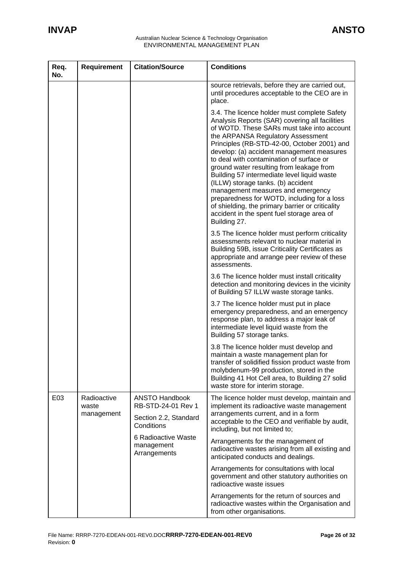| Req.<br>No. | Requirement                        | <b>Citation/Source</b>                                                                                                                  | <b>Conditions</b>                                                                                                                                                                                                                                                                                                                                                                                                                                                                                                                                                                                                                                                |
|-------------|------------------------------------|-----------------------------------------------------------------------------------------------------------------------------------------|------------------------------------------------------------------------------------------------------------------------------------------------------------------------------------------------------------------------------------------------------------------------------------------------------------------------------------------------------------------------------------------------------------------------------------------------------------------------------------------------------------------------------------------------------------------------------------------------------------------------------------------------------------------|
|             |                                    |                                                                                                                                         | source retrievals, before they are carried out,<br>until procedures acceptable to the CEO are in<br>place.                                                                                                                                                                                                                                                                                                                                                                                                                                                                                                                                                       |
|             |                                    |                                                                                                                                         | 3.4. The licence holder must complete Safety<br>Analysis Reports (SAR) covering all facilities<br>of WOTD. These SARs must take into account<br>the ARPANSA Regulatory Assessment<br>Principles (RB-STD-42-00, October 2001) and<br>develop: (a) accident management measures<br>to deal with contamination of surface or<br>ground water resulting from leakage from<br>Building 57 intermediate level liquid waste<br>(ILLW) storage tanks. (b) accident<br>management measures and emergency<br>preparedness for WOTD, including for a loss<br>of shielding, the primary barrier or criticality<br>accident in the spent fuel storage area of<br>Building 27. |
|             |                                    |                                                                                                                                         | 3.5 The licence holder must perform criticality<br>assessments relevant to nuclear material in<br>Building 59B, issue Criticality Certificates as<br>appropriate and arrange peer review of these<br>assessments.                                                                                                                                                                                                                                                                                                                                                                                                                                                |
|             |                                    |                                                                                                                                         | 3.6 The licence holder must install criticality<br>detection and monitoring devices in the vicinity<br>of Building 57 ILLW waste storage tanks.                                                                                                                                                                                                                                                                                                                                                                                                                                                                                                                  |
|             |                                    |                                                                                                                                         | 3.7 The licence holder must put in place<br>emergency preparedness, and an emergency<br>response plan, to address a major leak of<br>intermediate level liquid waste from the<br>Building 57 storage tanks.                                                                                                                                                                                                                                                                                                                                                                                                                                                      |
|             |                                    |                                                                                                                                         | 3.8 The licence holder must develop and<br>maintain a waste management plan for<br>transfer of solidified fission product waste from<br>molybdenum-99 production, stored in the<br>Building 41 Hot Cell area, to Building 27 solid<br>waste store for interim storage.                                                                                                                                                                                                                                                                                                                                                                                           |
| E03         | Radioactive<br>waste<br>management | <b>ANSTO Handbook</b><br>RB-STD-24-01 Rev 1<br>Section 2.2, Standard<br>Conditions<br>6 Radioactive Waste<br>management<br>Arrangements | The licence holder must develop, maintain and<br>implement its radioactive waste management<br>arrangements current, and in a form<br>acceptable to the CEO and verifiable by audit,<br>including, but not limited to;                                                                                                                                                                                                                                                                                                                                                                                                                                           |
|             |                                    |                                                                                                                                         | Arrangements for the management of<br>radioactive wastes arising from all existing and<br>anticipated conducts and dealings.                                                                                                                                                                                                                                                                                                                                                                                                                                                                                                                                     |
|             |                                    |                                                                                                                                         | Arrangements for consultations with local<br>government and other statutory authorities on<br>radioactive waste issues                                                                                                                                                                                                                                                                                                                                                                                                                                                                                                                                           |
|             |                                    |                                                                                                                                         | Arrangements for the return of sources and<br>radioactive wastes within the Organisation and<br>from other organisations.                                                                                                                                                                                                                                                                                                                                                                                                                                                                                                                                        |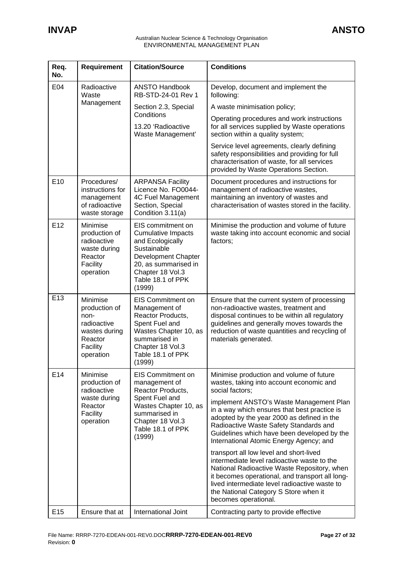| Req.<br>No.     | <b>Requirement</b>                                                                                    | <b>Citation/Source</b>                                                                                                                                                              | <b>Conditions</b>                                                                                                                                                                                                                                                                                                                                                                                                                                                                                                                                                                                                                                                                                  |
|-----------------|-------------------------------------------------------------------------------------------------------|-------------------------------------------------------------------------------------------------------------------------------------------------------------------------------------|----------------------------------------------------------------------------------------------------------------------------------------------------------------------------------------------------------------------------------------------------------------------------------------------------------------------------------------------------------------------------------------------------------------------------------------------------------------------------------------------------------------------------------------------------------------------------------------------------------------------------------------------------------------------------------------------------|
| E04             | Radioactive<br>Waste<br>Management                                                                    | <b>ANSTO Handbook</b><br>RB-STD-24-01 Rev 1                                                                                                                                         | Develop, document and implement the<br>following:                                                                                                                                                                                                                                                                                                                                                                                                                                                                                                                                                                                                                                                  |
|                 |                                                                                                       | Section 2.3, Special                                                                                                                                                                | A waste minimisation policy;                                                                                                                                                                                                                                                                                                                                                                                                                                                                                                                                                                                                                                                                       |
|                 |                                                                                                       | Conditions<br>13.20 'Radioactive<br>Waste Management'                                                                                                                               | Operating procedures and work instructions<br>for all services supplied by Waste operations<br>section within a quality system;                                                                                                                                                                                                                                                                                                                                                                                                                                                                                                                                                                    |
|                 |                                                                                                       |                                                                                                                                                                                     | Service level agreements, clearly defining<br>safety responsibilities and providing for full<br>characterisation of waste, for all services<br>provided by Waste Operations Section.                                                                                                                                                                                                                                                                                                                                                                                                                                                                                                               |
| E <sub>10</sub> | Procedures/<br>instructions for<br>management<br>of radioactive<br>waste storage                      | <b>ARPANSA Facility</b><br>Licence No. FO0044-<br>4C Fuel Management<br>Section, Special<br>Condition 3.11(a)                                                                       | Document procedures and instructions for<br>management of radioactive wastes,<br>maintaining an inventory of wastes and<br>characterisation of wastes stored in the facility.                                                                                                                                                                                                                                                                                                                                                                                                                                                                                                                      |
| E <sub>12</sub> | Minimise<br>production of<br>radioactive<br>waste during<br>Reactor<br>Facility<br>operation          | EIS commitment on<br><b>Cumulative Impacts</b><br>and Ecologically<br>Sustainable<br>Development Chapter<br>20, as summarised in<br>Chapter 18 Vol.3<br>Table 18.1 of PPK<br>(1999) | Minimise the production and volume of future<br>waste taking into account economic and social<br>factors;                                                                                                                                                                                                                                                                                                                                                                                                                                                                                                                                                                                          |
| E13             | Minimise<br>production of<br>non-<br>radioactive<br>wastes during<br>Reactor<br>Facility<br>operation | <b>EIS Commitment on</b><br>Management of<br>Reactor Products,<br>Spent Fuel and<br>Wastes Chapter 10, as<br>summarised in<br>Chapter 18 Vol.3<br>Table 18.1 of PPK<br>(1999)       | Ensure that the current system of processing<br>non-radioactive wastes, treatment and<br>disposal continues to be within all regulatory<br>guidelines and generally moves towards the<br>reduction of waste quantities and recycling of<br>materials generated.                                                                                                                                                                                                                                                                                                                                                                                                                                    |
| E14             | Minimise<br>production of<br>radioactive<br>waste during<br>Reactor<br>Facility<br>operation          | <b>EIS Commitment on</b><br>management of<br>Reactor Products,<br>Spent Fuel and<br>Wastes Chapter 10, as<br>summarised in<br>Chapter 18 Vol.3<br>Table 18.1 of PPK<br>(1999)       | Minimise production and volume of future<br>wastes, taking into account economic and<br>social factors;<br>implement ANSTO's Waste Management Plan<br>in a way which ensures that best practice is<br>adopted by the year 2000 as defined in the<br>Radioactive Waste Safety Standards and<br>Guidelines which have been developed by the<br>International Atomic Energy Agency; and<br>transport all low level and short-lived<br>intermediate level radioactive waste to the<br>National Radioactive Waste Repository, when<br>it becomes operational, and transport all long-<br>lived intermediate level radioactive waste to<br>the National Category S Store when it<br>becomes operational. |
| E <sub>15</sub> | Ensure that at                                                                                        | International Joint                                                                                                                                                                 | Contracting party to provide effective                                                                                                                                                                                                                                                                                                                                                                                                                                                                                                                                                                                                                                                             |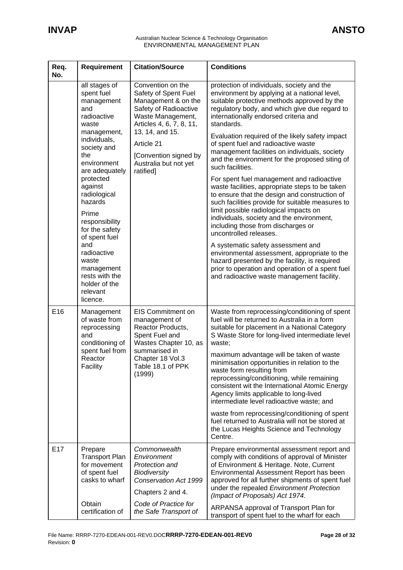| Req.<br>No.     | <b>Requirement</b>                                                                                                                                                                                                                                                                                                                                                                      | <b>Citation/Source</b>                                                                                                                                                                                                                     | <b>Conditions</b>                                                                                                                                                                                                                                                                                                                                                                                                                                                                                                                                                                                                                                                                                                                                                                                                                                                                                                                                                                                                                                                       |
|-----------------|-----------------------------------------------------------------------------------------------------------------------------------------------------------------------------------------------------------------------------------------------------------------------------------------------------------------------------------------------------------------------------------------|--------------------------------------------------------------------------------------------------------------------------------------------------------------------------------------------------------------------------------------------|-------------------------------------------------------------------------------------------------------------------------------------------------------------------------------------------------------------------------------------------------------------------------------------------------------------------------------------------------------------------------------------------------------------------------------------------------------------------------------------------------------------------------------------------------------------------------------------------------------------------------------------------------------------------------------------------------------------------------------------------------------------------------------------------------------------------------------------------------------------------------------------------------------------------------------------------------------------------------------------------------------------------------------------------------------------------------|
|                 | all stages of<br>spent fuel<br>management<br>and<br>radioactive<br>waste<br>management,<br>individuals,<br>society and<br>the<br>environment<br>are adequately<br>protected<br>against<br>radiological<br>hazards<br>Prime<br>responsibility<br>for the safety<br>of spent fuel<br>and<br>radioactive<br>waste<br>management<br>rests with the<br>holder of the<br>relevant<br>licence. | Convention on the<br>Safety of Spent Fuel<br>Management & on the<br>Safety of Radioactive<br>Waste Management,<br>Articles 4, 6, 7, 8, 11,<br>13, 14, and 15.<br>Article 21<br>[Convention signed by<br>Australia but not yet<br>ratified] | protection of individuals, society and the<br>environment by applying at a national level,<br>suitable protective methods approved by the<br>regulatory body, and which give due regard to<br>internationally endorsed criteria and<br>standards.<br>Evaluation required of the likely safety impact<br>of spent fuel and radioactive waste<br>management facilities on individuals, society<br>and the environment for the proposed siting of<br>such facilities.<br>For spent fuel management and radioactive<br>waste facilities, appropriate steps to be taken<br>to ensure that the design and construction of<br>such facilities provide for suitable measures to<br>limit possible radiological impacts on<br>individuals, society and the environment,<br>including those from discharges or<br>uncontrolled releases.<br>A systematic safety assessment and<br>environmental assessment, appropriate to the<br>hazard presented by the facility, is required<br>prior to operation and operation of a spent fuel<br>and radioactive waste management facility. |
| E16             | Management<br>of waste from<br>reprocessing<br>and<br>conditioning of<br>spent fuel from<br>Reactor<br>Facility                                                                                                                                                                                                                                                                         | <b>EIS Commitment on</b><br>management of<br>Reactor Products,<br>Spent Fuel and<br>Wastes Chapter 10, as<br>summarised in<br>Chapter 18 Vol.3<br>Table 18.1 of PPK<br>(1999)                                                              | Waste from reprocessing/conditioning of spent<br>fuel will be returned to Australia in a form<br>suitable for placement in a National Category<br>S Waste Store for long-lived intermediate level<br>waste;<br>maximum advantage will be taken of waste<br>minimisation opportunities in relation to the<br>waste form resulting from<br>reprocessing/conditioning, while remaining<br>consistent wit the International Atomic Energy<br>Agency limits applicable to long-lived<br>intermediate level radioactive waste; and<br>waste from reprocessing/conditioning of spent<br>fuel returned to Australia will not be stored at<br>the Lucas Heights Science and Technology<br>Centre.                                                                                                                                                                                                                                                                                                                                                                                |
| E <sub>17</sub> | Prepare<br><b>Transport Plan</b><br>for movement<br>of spent fuel<br>casks to wharf<br>Obtain<br>certification of                                                                                                                                                                                                                                                                       | Commonwealth<br>Environment<br>Protection and<br><b>Biodiversity</b><br>Conservation Act 1999<br>Chapters 2 and 4.<br>Code of Practice for<br>the Safe Transport of                                                                        | Prepare environmental assessment report and<br>comply with conditions of approval of Minister<br>of Environment & Heritage. Note, Current<br>Environmental Assessment Report has been<br>approved for all further shipments of spent fuel<br>under the repealed Environment Protection<br>(Impact of Proposals) Act 1974.<br>ARPANSA approval of Transport Plan for<br>transport of spent fuel to the wharf for each                                                                                                                                                                                                                                                                                                                                                                                                                                                                                                                                                                                                                                                    |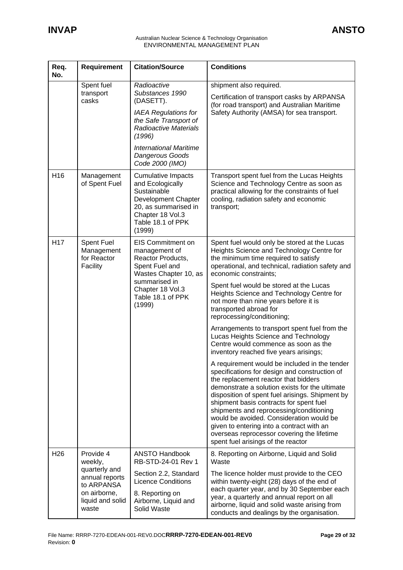| Req.<br>No.     | Requirement                                                                                                        | <b>Citation/Source</b>                                                                                                                                                                                               | <b>Conditions</b>                                                                                                                                                                                                                                                                                                                                                                                                                                                                                                                                                                                                                                                                                                                                                                                                                                                                                                                                                                                                |
|-----------------|--------------------------------------------------------------------------------------------------------------------|----------------------------------------------------------------------------------------------------------------------------------------------------------------------------------------------------------------------|------------------------------------------------------------------------------------------------------------------------------------------------------------------------------------------------------------------------------------------------------------------------------------------------------------------------------------------------------------------------------------------------------------------------------------------------------------------------------------------------------------------------------------------------------------------------------------------------------------------------------------------------------------------------------------------------------------------------------------------------------------------------------------------------------------------------------------------------------------------------------------------------------------------------------------------------------------------------------------------------------------------|
|                 | Spent fuel<br>transport<br>casks                                                                                   | Radioactive<br>Substances 1990<br>(DASETT).<br><b>IAEA Regulations for</b><br>the Safe Transport of<br><b>Radioactive Materials</b><br>(1996)<br><b>International Maritime</b><br>Dangerous Goods<br>Code 2000 (IMO) | shipment also required.<br>Certification of transport casks by ARPANSA<br>(for road transport) and Australian Maritime<br>Safety Authority (AMSA) for sea transport.                                                                                                                                                                                                                                                                                                                                                                                                                                                                                                                                                                                                                                                                                                                                                                                                                                             |
| H <sub>16</sub> | Management<br>of Spent Fuel                                                                                        | <b>Cumulative Impacts</b><br>and Ecologically<br>Sustainable<br>Development Chapter<br>20, as summarised in<br>Chapter 18 Vol.3<br>Table 18.1 of PPK<br>(1999)                                                       | Transport spent fuel from the Lucas Heights<br>Science and Technology Centre as soon as<br>practical allowing for the constraints of fuel<br>cooling, radiation safety and economic<br>transport;                                                                                                                                                                                                                                                                                                                                                                                                                                                                                                                                                                                                                                                                                                                                                                                                                |
| H <sub>17</sub> | <b>Spent Fuel</b><br>Management<br>for Reactor<br>Facility                                                         | <b>EIS Commitment on</b><br>management of<br>Reactor Products,<br>Spent Fuel and<br>Wastes Chapter 10, as<br>summarised in<br>Chapter 18 Vol.3<br>Table 18.1 of PPK<br>(1999)                                        | Spent fuel would only be stored at the Lucas<br>Heights Science and Technology Centre for<br>the minimum time required to satisfy<br>operational, and technical, radiation safety and<br>economic constraints;<br>Spent fuel would be stored at the Lucas<br>Heights Science and Technology Centre for<br>not more than nine years before it is<br>transported abroad for<br>reprocessing/conditioning;<br>Arrangements to transport spent fuel from the<br>Lucas Heights Science and Technology<br>Centre would commence as soon as the<br>inventory reached five years arisings;<br>A requirement would be included in the tender<br>specifications for design and construction of<br>the replacement reactor that bidders<br>demonstrate a solution exists for the ultimate<br>disposition of spent fuel arisings. Shipment by<br>shipment basis contracts for spent fuel<br>shipments and reprocessing/conditioning<br>would be avoided. Consideration would be<br>given to entering into a contract with an |
| H <sub>26</sub> | Provide 4<br>weekly,<br>quarterly and<br>annual reports<br>to ARPANSA<br>on airborne,<br>liquid and solid<br>waste | <b>ANSTO Handbook</b>                                                                                                                                                                                                | overseas reprocessor covering the lifetime<br>spent fuel arisings of the reactor<br>8. Reporting on Airborne, Liquid and Solid                                                                                                                                                                                                                                                                                                                                                                                                                                                                                                                                                                                                                                                                                                                                                                                                                                                                                   |
|                 |                                                                                                                    | RB-STD-24-01 Rev 1<br>Section 2.2, Standard<br><b>Licence Conditions</b><br>8. Reporting on<br>Airborne, Liquid and<br>Solid Waste                                                                                   | Waste<br>The licence holder must provide to the CEO<br>within twenty-eight (28) days of the end of<br>each quarter year, and by 30 September each<br>year, a quarterly and annual report on all<br>airborne, liquid and solid waste arising from<br>conducts and dealings by the organisation.                                                                                                                                                                                                                                                                                                                                                                                                                                                                                                                                                                                                                                                                                                                   |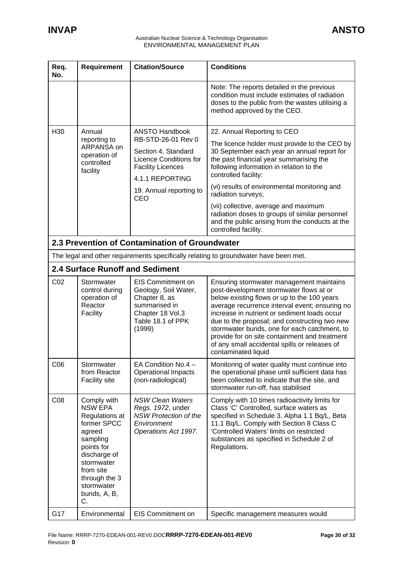| Req.<br>No.     | <b>Requirement</b>                                                                                                                                                                                 | <b>Citation/Source</b>                                                                                                                                                               | <b>Conditions</b>                                                                                                                                                                                                                                                                                                                                                                                                                                                                      |
|-----------------|----------------------------------------------------------------------------------------------------------------------------------------------------------------------------------------------------|--------------------------------------------------------------------------------------------------------------------------------------------------------------------------------------|----------------------------------------------------------------------------------------------------------------------------------------------------------------------------------------------------------------------------------------------------------------------------------------------------------------------------------------------------------------------------------------------------------------------------------------------------------------------------------------|
|                 |                                                                                                                                                                                                    |                                                                                                                                                                                      | Note: The reports detailed in the previous<br>condition must include estimates of radiation<br>doses to the public from the wastes utilising a<br>method approved by the CEO.                                                                                                                                                                                                                                                                                                          |
| H <sub>30</sub> | Annual<br>reporting to<br>ARPANSA on<br>operation of<br>controlled<br>facility                                                                                                                     | <b>ANSTO Handbook</b><br>RB-STD-26-01 Rev 0<br>Section 4, Standard<br><b>Licence Conditions for</b><br><b>Facility Licences</b><br>4.1.1 REPORTING<br>19. Annual reporting to<br>CEO | 22. Annual Reporting to CEO<br>The licence holder must provide to the CEO by<br>30 September each year an annual report for<br>the past financial year summarising the<br>following information in relation to the<br>controlled facility:<br>(vi) results of environmental monitoring and<br>radiation surveys;<br>(vii) collective, average and maximum<br>radiation doses to groups of similar personnel<br>and the public arising from the conducts at the<br>controlled facility. |
|                 |                                                                                                                                                                                                    | 2.3 Prevention of Contamination of Groundwater                                                                                                                                       |                                                                                                                                                                                                                                                                                                                                                                                                                                                                                        |
|                 |                                                                                                                                                                                                    |                                                                                                                                                                                      | The legal and other requirements specifically relating to groundwater have been met.                                                                                                                                                                                                                                                                                                                                                                                                   |
|                 | <b>2.4 Surface Runoff and Sediment</b>                                                                                                                                                             |                                                                                                                                                                                      |                                                                                                                                                                                                                                                                                                                                                                                                                                                                                        |
| CO <sub>2</sub> | Stormwater<br>control during<br>operation of<br>Reactor<br>Facility                                                                                                                                | <b>EIS Commitment on</b><br>Geology, Soil Water,<br>Chapter 8, as<br>summarised in<br>Chapter 18 Vol.3<br>Table 18.1 of PPK<br>(1999)                                                | Ensuring stormwater management maintains<br>post-development stormwater flows at or<br>below existing flows or up to the 100 years<br>average recurrence interval event; ensuring no<br>increase in nutrient or sediment loads occur<br>due to the proposal; and constructing two new<br>stormwater bunds, one for each catchment, to<br>provide for on site containment and treatment<br>of any small accidental spills or releases of<br>contaminated liquid                         |
| C <sub>06</sub> | Stormwater<br>from Reactor<br><b>Facility site</b>                                                                                                                                                 | EA Condition $No.4 -$<br><b>Operational Impacts</b><br>(non-radiological)                                                                                                            | Monitoring of water quality must continue into<br>the operational phase until sufficient data has<br>been collected to indicate that the site, and<br>stormwater run-off, has stabilised                                                                                                                                                                                                                                                                                               |
| C <sub>08</sub> | Comply with<br><b>NSW EPA</b><br>Regulations at<br>former SPCC<br>agreed<br>sampling<br>points for<br>discharge of<br>stormwater<br>from site<br>through the 3<br>stormwater<br>bunds, A, B,<br>C. | <b>NSW Clean Waters</b><br>Regs. 1972, under<br><b>NSW Protection of the</b><br>Environment<br>Operations Act 1997.                                                                  | Comply with 10 times radioactivity limits for<br>Class 'C' Controlled, surface waters as<br>specified in Schedule 3. Alpha 1.1 Bq/L, Beta<br>11.1 Bq/L. Comply with Section 8 Class C<br>'Controlled Waters' limits on restricted<br>substances as specified in Schedule 2 of<br>Regulations.                                                                                                                                                                                          |
| G17             | Environmental                                                                                                                                                                                      | EIS Commitment on                                                                                                                                                                    | Specific management measures would                                                                                                                                                                                                                                                                                                                                                                                                                                                     |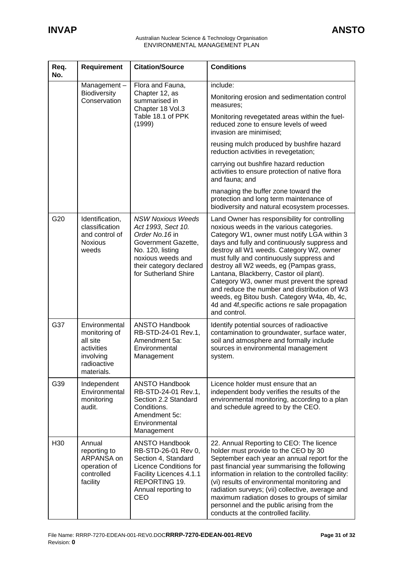| Req.<br>No. | <b>Requirement</b>                                                                                 | <b>Citation/Source</b>                                                                                                                                                               | <b>Conditions</b>                                                                                                                                                                                                                                                                                                                                                                                                                                                                                                                                                                      |
|-------------|----------------------------------------------------------------------------------------------------|--------------------------------------------------------------------------------------------------------------------------------------------------------------------------------------|----------------------------------------------------------------------------------------------------------------------------------------------------------------------------------------------------------------------------------------------------------------------------------------------------------------------------------------------------------------------------------------------------------------------------------------------------------------------------------------------------------------------------------------------------------------------------------------|
|             | Management-                                                                                        | Flora and Fauna,                                                                                                                                                                     | include:                                                                                                                                                                                                                                                                                                                                                                                                                                                                                                                                                                               |
|             | <b>Biodiversity</b><br>Chapter 12, as<br>Conservation<br>summarised in<br>Chapter 18 Vol.3         | Monitoring erosion and sedimentation control<br>measures:                                                                                                                            |                                                                                                                                                                                                                                                                                                                                                                                                                                                                                                                                                                                        |
|             |                                                                                                    | Table 18.1 of PPK<br>(1999)                                                                                                                                                          | Monitoring revegetated areas within the fuel-<br>reduced zone to ensure levels of weed<br>invasion are minimised;                                                                                                                                                                                                                                                                                                                                                                                                                                                                      |
|             |                                                                                                    |                                                                                                                                                                                      | reusing mulch produced by bushfire hazard<br>reduction activities in revegetation;                                                                                                                                                                                                                                                                                                                                                                                                                                                                                                     |
|             |                                                                                                    |                                                                                                                                                                                      | carrying out bushfire hazard reduction<br>activities to ensure protection of native flora<br>and fauna; and                                                                                                                                                                                                                                                                                                                                                                                                                                                                            |
|             |                                                                                                    |                                                                                                                                                                                      | managing the buffer zone toward the<br>protection and long term maintenance of<br>biodiversity and natural ecosystem processes.                                                                                                                                                                                                                                                                                                                                                                                                                                                        |
| G20         | Identification,<br>classification<br>and control of<br><b>Noxious</b><br>weeds                     | <b>NSW Noxious Weeds</b><br>Act 1993, Sect 10.<br>Order No. 16 in<br>Government Gazette,<br>No. 120, listing<br>noxious weeds and<br>their category declared<br>for Sutherland Shire | Land Owner has responsibility for controlling<br>noxious weeds in the various categories.<br>Category W1, owner must notify LGA within 3<br>days and fully and continuously suppress and<br>destroy all W1 weeds. Category W2, owner<br>must fully and continuously suppress and<br>destroy all W2 weeds, eg (Pampas grass,<br>Lantana, Blackberry, Castor oil plant).<br>Category W3, owner must prevent the spread<br>and reduce the number and distribution of W3<br>weeds, eg Bitou bush. Category W4a, 4b, 4c,<br>4d and 4f, specific actions re sale propagation<br>and control. |
| G37         | Environmental<br>monitoring of<br>all site<br>activities<br>involving<br>radioactive<br>materials. | <b>ANSTO Handbook</b><br>RB-STD-24-01 Rev.1,<br>Amendment 5a:<br>Environmental<br>Management                                                                                         | Identify potential sources of radioactive<br>contamination to groundwater, surface water,<br>soil and atmosphere and formally include<br>sources in environmental management<br>system.                                                                                                                                                                                                                                                                                                                                                                                                |
| G39         | Independent<br>Environmental<br>monitoring<br>audit.                                               | <b>ANSTO Handbook</b><br>RB-STD-24-01 Rev.1,<br>Section 2.2 Standard<br>Conditions.<br>Amendment 5c:<br>Environmental<br>Management                                                  | Licence holder must ensure that an<br>independent body verifies the results of the<br>environmental monitoring, according to a plan<br>and schedule agreed to by the CEO.                                                                                                                                                                                                                                                                                                                                                                                                              |
| H30         | Annual<br>reporting to<br>ARPANSA on<br>operation of<br>controlled<br>facility                     | <b>ANSTO Handbook</b><br>RB-STD-26-01 Rev 0,<br>Section 4, Standard<br><b>Licence Conditions for</b><br>Facility Licences 4.1.1<br>REPORTING 19.<br>Annual reporting to<br>CEO       | 22. Annual Reporting to CEO: The licence<br>holder must provide to the CEO by 30<br>September each year an annual report for the<br>past financial year summarising the following<br>information in relation to the controlled facility:<br>(vi) results of environmental monitoring and<br>radiation surveys; (vii) collective, average and<br>maximum radiation doses to groups of similar<br>personnel and the public arising from the<br>conducts at the controlled facility.                                                                                                      |